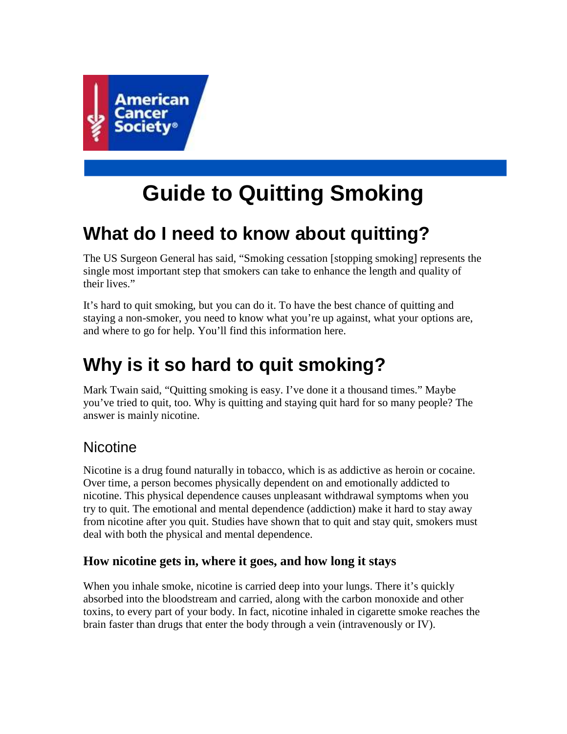

# **Guide to Quitting Smoking**

# **What do I need to know about quitting?**

The US Surgeon General has said, "Smoking cessation [stopping smoking] represents the single most important step that smokers can take to enhance the length and quality of their lives."

It's hard to quit smoking, but you can do it. To have the best chance of quitting and staying a non-smoker, you need to know what you're up against, what your options are, and where to go for help. You'll find this information here.

# **Why is it so hard to quit smoking?**

Mark Twain said, "Quitting smoking is easy. I've done it a thousand times." Maybe you've tried to quit, too. Why is quitting and staying quit hard for so many people? The answer is mainly nicotine.

## **Nicotine**

Nicotine is a drug found naturally in tobacco, which is as addictive as heroin or cocaine. Over time, a person becomes physically dependent on and emotionally addicted to nicotine. This physical dependence causes unpleasant withdrawal symptoms when you try to quit. The emotional and mental dependence (addiction) make it hard to stay away from nicotine after you quit. Studies have shown that to quit and stay quit, smokers must deal with both the physical and mental dependence.

### **How nicotine gets in, where it goes, and how long it stays**

When you inhale smoke, nicotine is carried deep into your lungs. There it's quickly absorbed into the bloodstream and carried, along with the carbon monoxide and other toxins, to every part of your body. In fact, nicotine inhaled in cigarette smoke reaches the brain faster than drugs that enter the body through a vein (intravenously or IV).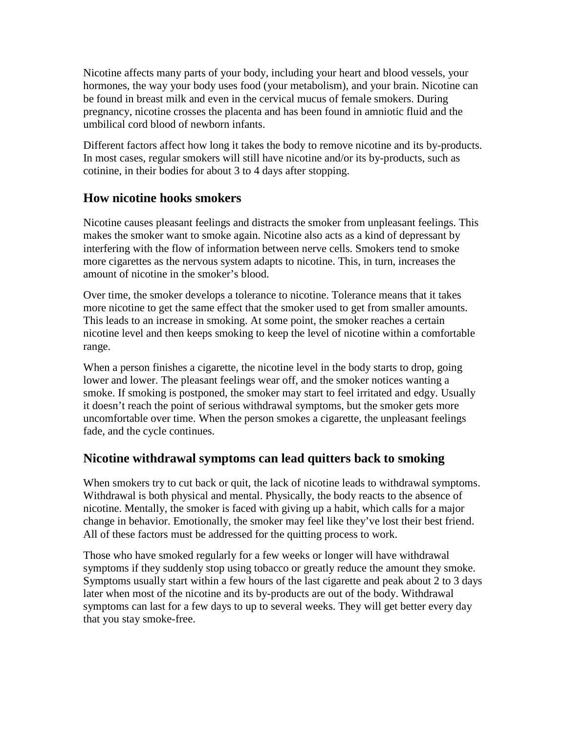Nicotine affects many parts of your body, including your heart and blood vessels, your hormones, the way your body uses food (your metabolism), and your brain. Nicotine can be found in breast milk and even in the cervical mucus of female smokers. During pregnancy, nicotine crosses the placenta and has been found in amniotic fluid and the umbilical cord blood of newborn infants.

Different factors affect how long it takes the body to remove nicotine and its by-products. In most cases, regular smokers will still have nicotine and/or its by-products, such as cotinine, in their bodies for about 3 to 4 days after stopping.

### **How nicotine hooks smokers**

Nicotine causes pleasant feelings and distracts the smoker from unpleasant feelings. This makes the smoker want to smoke again. Nicotine also acts as a kind of depressant by interfering with the flow of information between nerve cells. Smokers tend to smoke more cigarettes as the nervous system adapts to nicotine. This, in turn, increases the amount of nicotine in the smoker's blood.

Over time, the smoker develops a tolerance to nicotine. Tolerance means that it takes more nicotine to get the same effect that the smoker used to get from smaller amounts. This leads to an increase in smoking. At some point, the smoker reaches a certain nicotine level and then keeps smoking to keep the level of nicotine within a comfortable range.

When a person finishes a cigarette, the nicotine level in the body starts to drop, going lower and lower. The pleasant feelings wear off, and the smoker notices wanting a smoke. If smoking is postponed, the smoker may start to feel irritated and edgy. Usually it doesn't reach the point of serious withdrawal symptoms, but the smoker gets more uncomfortable over time. When the person smokes a cigarette, the unpleasant feelings fade, and the cycle continues.

### **Nicotine withdrawal symptoms can lead quitters back to smoking**

When smokers try to cut back or quit, the lack of nicotine leads to withdrawal symptoms. Withdrawal is both physical and mental. Physically, the body reacts to the absence of nicotine. Mentally, the smoker is faced with giving up a habit, which calls for a major change in behavior. Emotionally, the smoker may feel like they've lost their best friend. All of these factors must be addressed for the quitting process to work.

Those who have smoked regularly for a few weeks or longer will have withdrawal symptoms if they suddenly stop using tobacco or greatly reduce the amount they smoke. Symptoms usually start within a few hours of the last cigarette and peak about 2 to 3 days later when most of the nicotine and its by-products are out of the body. Withdrawal symptoms can last for a few days to up to several weeks. They will get better every day that you stay smoke-free.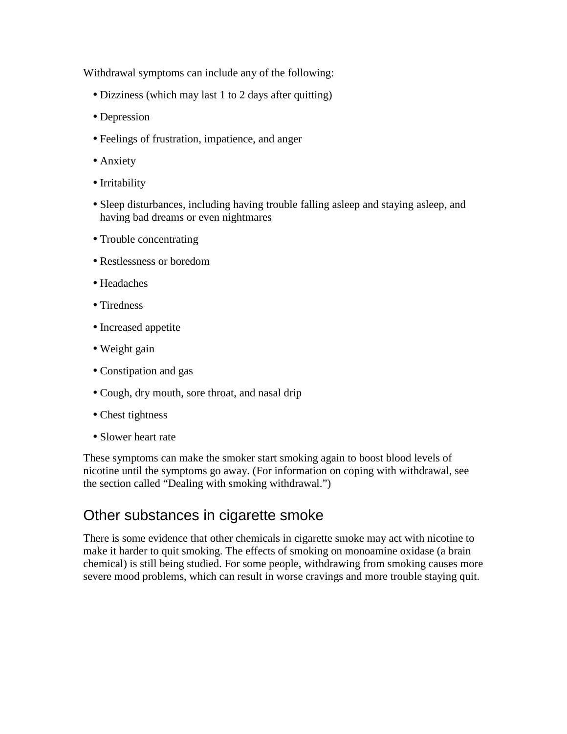Withdrawal symptoms can include any of the following:

- Dizziness (which may last 1 to 2 days after quitting)
- Depression
- Feelings of frustration, impatience, and anger
- Anxiety
- Irritability
- Sleep disturbances, including having trouble falling asleep and staying asleep, and having bad dreams or even nightmares
- Trouble concentrating
- Restlessness or boredom
- Headaches
- Tiredness
- Increased appetite
- Weight gain
- Constipation and gas
- Cough, dry mouth, sore throat, and nasal drip
- Chest tightness
- Slower heart rate

These symptoms can make the smoker start smoking again to boost blood levels of nicotine until the symptoms go away. (For information on coping with withdrawal, see the section called "Dealing with smoking withdrawal.")

### Other substances in cigarette smoke

There is some evidence that other chemicals in cigarette smoke may act with nicotine to make it harder to quit smoking. The effects of smoking on monoamine oxidase (a brain chemical) is still being studied. For some people, withdrawing from smoking causes more severe mood problems, which can result in worse cravings and more trouble staying quit.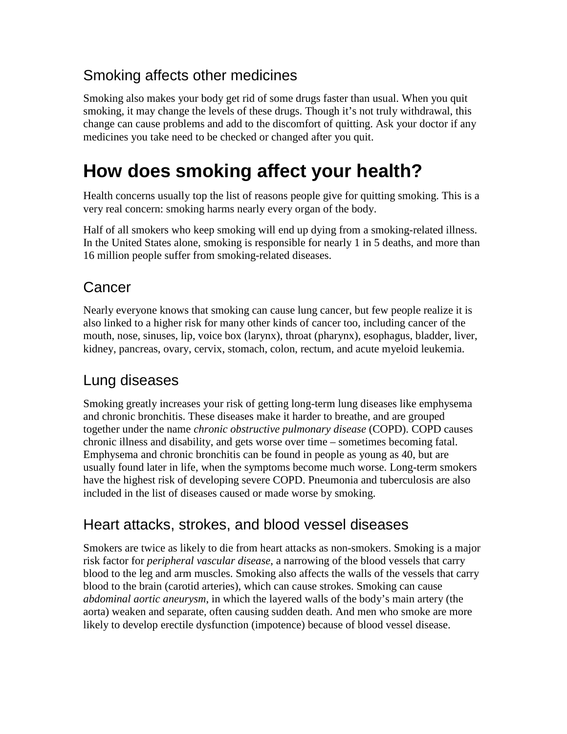## Smoking affects other medicines

Smoking also makes your body get rid of some drugs faster than usual. When you quit smoking, it may change the levels of these drugs. Though it's not truly withdrawal, this change can cause problems and add to the discomfort of quitting. Ask your doctor if any medicines you take need to be checked or changed after you quit.

# **How does smoking affect your health?**

Health concerns usually top the list of reasons people give for quitting smoking. This is a very real concern: smoking harms nearly every organ of the body.

Half of all smokers who keep smoking will end up dying from a smoking-related illness. In the United States alone, smoking is responsible for nearly 1 in 5 deaths, and more than 16 million people suffer from smoking-related diseases.

## Cancer

Nearly everyone knows that smoking can cause lung cancer, but few people realize it is also linked to a higher risk for many other kinds of cancer too, including cancer of the mouth, nose, sinuses, lip, voice box (larynx), throat (pharynx), esophagus, bladder, liver, kidney, pancreas, ovary, cervix, stomach, colon, rectum, and acute myeloid leukemia.

## Lung diseases

Smoking greatly increases your risk of getting long-term lung diseases like emphysema and chronic bronchitis. These diseases make it harder to breathe, and are grouped together under the name *chronic obstructive pulmonary disease* (COPD). COPD causes chronic illness and disability, and gets worse over time – sometimes becoming fatal. Emphysema and chronic bronchitis can be found in people as young as 40, but are usually found later in life, when the symptoms become much worse. Long-term smokers have the highest risk of developing severe COPD. Pneumonia and tuberculosis are also included in the list of diseases caused or made worse by smoking.

## Heart attacks, strokes, and blood vessel diseases

Smokers are twice as likely to die from heart attacks as non-smokers. Smoking is a major risk factor for *peripheral vascular disease*, a narrowing of the blood vessels that carry blood to the leg and arm muscles. Smoking also affects the walls of the vessels that carry blood to the brain (carotid arteries), which can cause strokes. Smoking can cause *abdominal aortic aneurysm*, in which the layered walls of the body's main artery (the aorta) weaken and separate, often causing sudden death. And men who smoke are more likely to develop erectile dysfunction (impotence) because of blood vessel disease.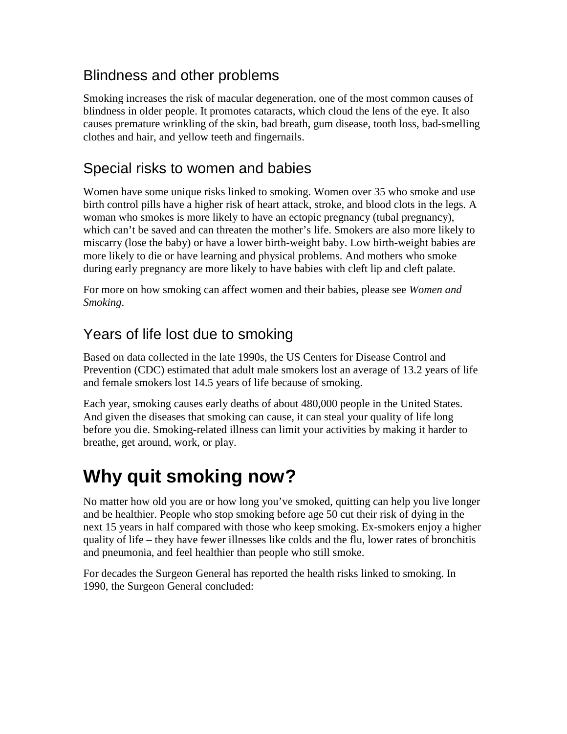## Blindness and other problems

Smoking increases the risk of macular degeneration, one of the most common causes of blindness in older people. It promotes cataracts, which cloud the lens of the eye. It also causes premature wrinkling of the skin, bad breath, gum disease, tooth loss, bad-smelling clothes and hair, and yellow teeth and fingernails.

## Special risks to women and babies

Women have some unique risks linked to smoking. Women over 35 who smoke and use birth control pills have a higher risk of heart attack, stroke, and blood clots in the legs. A woman who smokes is more likely to have an ectopic pregnancy (tubal pregnancy), which can't be saved and can threaten the mother's life. Smokers are also more likely to miscarry (lose the baby) or have a lower birth-weight baby. Low birth-weight babies are more likely to die or have learning and physical problems. And mothers who smoke during early pregnancy are more likely to have babies with cleft lip and cleft palate.

For more on how smoking can affect women and their babies, please see *Women and Smoking*.

## Years of life lost due to smoking

Based on data collected in the late 1990s, the US Centers for Disease Control and Prevention (CDC) estimated that adult male smokers lost an average of 13.2 years of life and female smokers lost 14.5 years of life because of smoking.

Each year, smoking causes early deaths of about 480,000 people in the United States. And given the diseases that smoking can cause, it can steal your quality of life long before you die. Smoking-related illness can limit your activities by making it harder to breathe, get around, work, or play.

# **Why quit smoking now?**

No matter how old you are or how long you've smoked, quitting can help you live longer and be healthier. People who stop smoking before age 50 cut their risk of dying in the next 15 years in half compared with those who keep smoking. Ex-smokers enjoy a higher quality of life – they have fewer illnesses like colds and the flu, lower rates of bronchitis and pneumonia, and feel healthier than people who still smoke.

For decades the Surgeon General has reported the health risks linked to smoking. In 1990, the Surgeon General concluded: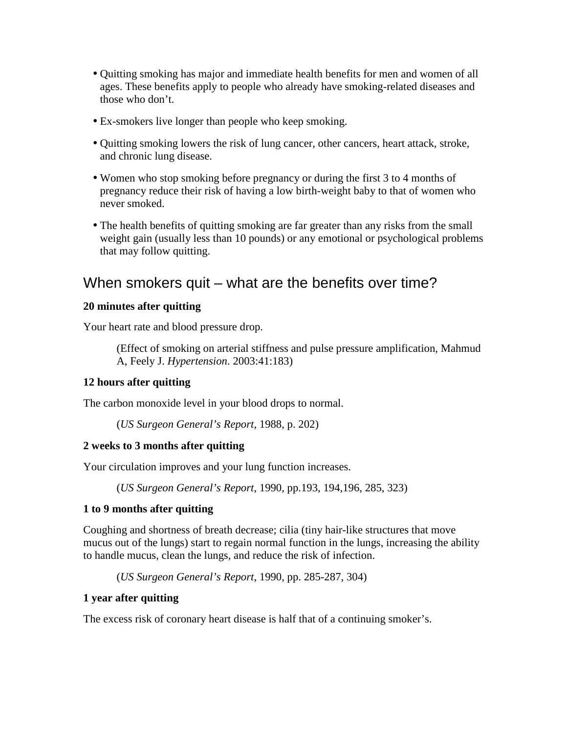- Quitting smoking has major and immediate health benefits for men and women of all ages. These benefits apply to people who already have smoking-related diseases and those who don't.
- Ex-smokers live longer than people who keep smoking.
- Quitting smoking lowers the risk of lung cancer, other cancers, heart attack, stroke, and chronic lung disease.
- Women who stop smoking before pregnancy or during the first 3 to 4 months of pregnancy reduce their risk of having a low birth-weight baby to that of women who never smoked.
- The health benefits of quitting smoking are far greater than any risks from the small weight gain (usually less than 10 pounds) or any emotional or psychological problems that may follow quitting.

### When smokers quit – what are the benefits over time?

#### **20 minutes after quitting**

Your heart rate and blood pressure drop.

(Effect of smoking on arterial stiffness and pulse pressure amplification, Mahmud A, Feely J. *Hypertension*. 2003:41:183)

#### **12 hours after quitting**

The carbon monoxide level in your blood drops to normal.

```
(US Surgeon General's Report, 1988, p. 202)
```
#### **2 weeks to 3 months after quitting**

Your circulation improves and your lung function increases.

(*US Surgeon General's Report*, 1990, pp.193, 194,196, 285, 323)

#### **1 to 9 months after quitting**

Coughing and shortness of breath decrease; cilia (tiny hair-like structures that move mucus out of the lungs) start to regain normal function in the lungs, increasing the ability to handle mucus, clean the lungs, and reduce the risk of infection.

(*US Surgeon General's Report*, 1990, pp. 285-287, 304)

#### **1 year after quitting**

The excess risk of coronary heart disease is half that of a continuing smoker's.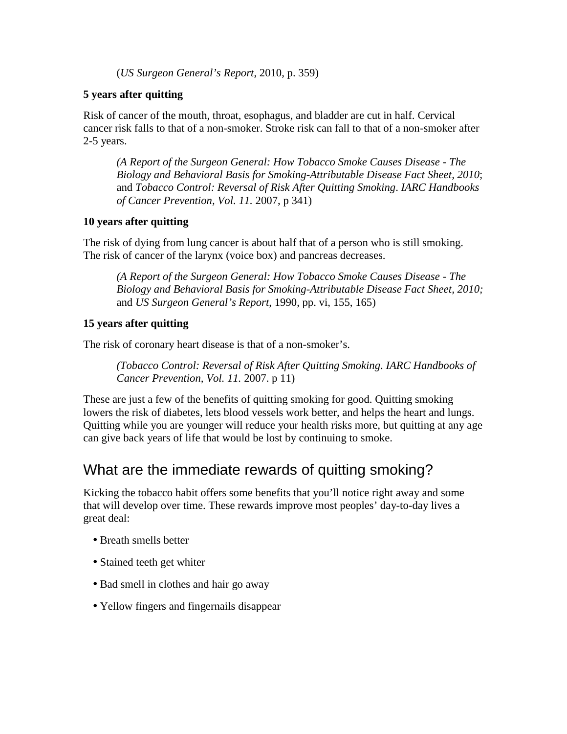(*US Surgeon General's Report*, 2010, p. 359)

#### **5 years after quitting**

Risk of cancer of the mouth, throat, esophagus, and bladder are cut in half. Cervical cancer risk falls to that of a non-smoker. Stroke risk can fall to that of a non-smoker after 2-5 years.

*(A Report of the Surgeon General: How Tobacco Smoke Causes Disease - The Biology and Behavioral Basis for Smoking-Attributable Disease Fact Sheet, 2010*; and *Tobacco Control: Reversal of Risk After Quitting Smoking*. *IARC Handbooks of Cancer Prevention, Vol. 11.* 2007, p 341)

#### **10 years after quitting**

The risk of dying from lung cancer is about half that of a person who is still smoking. The risk of cancer of the larynx (voice box) and pancreas decreases.

*(A Report of the Surgeon General: How Tobacco Smoke Causes Disease - The Biology and Behavioral Basis for Smoking-Attributable Disease Fact Sheet, 2010;* and *US Surgeon General's Report*, 1990, pp. vi, 155, 165)

#### **15 years after quitting**

The risk of coronary heart disease is that of a non-smoker's.

*(Tobacco Control: Reversal of Risk After Quitting Smoking*. *IARC Handbooks of Cancer Prevention, Vol. 11.* 2007. p 11)

These are just a few of the benefits of quitting smoking for good. Quitting smoking lowers the risk of diabetes, lets blood vessels work better, and helps the heart and lungs. Quitting while you are younger will reduce your health risks more, but quitting at any age can give back years of life that would be lost by continuing to smoke.

### What are the immediate rewards of quitting smoking?

Kicking the tobacco habit offers some benefits that you'll notice right away and some that will develop over time. These rewards improve most peoples' day-to-day lives a great deal:

- Breath smells better
- Stained teeth get whiter
- Bad smell in clothes and hair go away
- Yellow fingers and fingernails disappear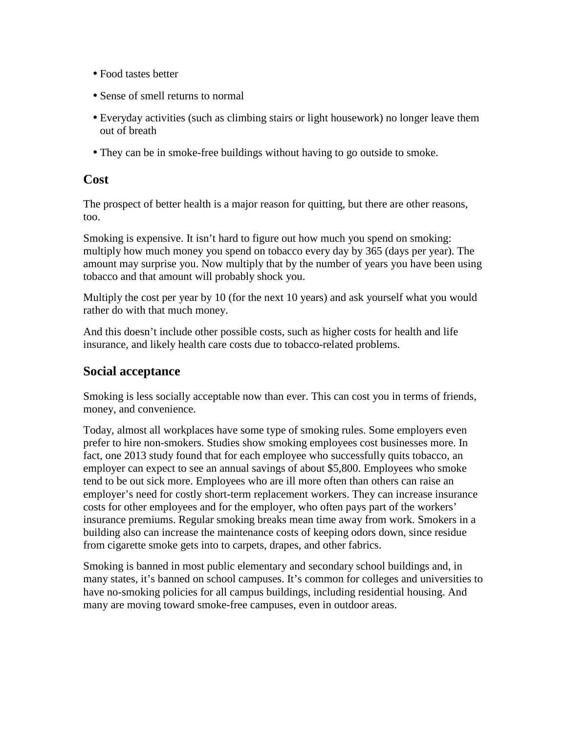- Food tastes better
- Sense of smell returns to normal
- Everyday activities (such as climbing stairs or light housework) no longer leave them out of breath
- They can be in smoke-free buildings without having to go outside to smoke.

#### **Cost**

The prospect of better health is a major reason for quitting, but there are other reasons, too.

Smoking is expensive. It isn't hard to figure out how much you spend on smoking: multiply how much money you spend on tobacco every day by 365 (days per year). The amount may surprise you. Now multiply that by the number of years you have been using tobacco and that amount will probably shock you.

Multiply the cost per year by 10 (for the next 10 years) and ask yourself what you would rather do with that much money.

And this doesn't include other possible costs, such as higher costs for health and life insurance, and likely health care costs due to tobacco-related problems.

#### **Social acceptance**

Smoking is less socially acceptable now than ever. This can cost you in terms of friends, money, and convenience.

Today, almost all workplaces have some type of smoking rules. Some employers even prefer to hire non-smokers. Studies show smoking employees cost businesses more. In fact, one 2013 study found that for each employee who successfully quits tobacco, an employer can expect to see an annual savings of about \$5,800. Employees who smoke tend to be out sick more. Employees who are ill more often than others can raise an employer's need for costly short-term replacement workers. They can increase insurance costs for other employees and for the employer, who often pays part of the workers' insurance premiums. Regular smoking breaks mean time away from work. Smokers in a building also can increase the maintenance costs of keeping odors down, since residue from cigarette smoke gets into to carpets, drapes, and other fabrics.

Smoking is banned in most public elementary and secondary school buildings and, in many states, it's banned on school campuses. It's common for colleges and universities to have no-smoking policies for all campus buildings, including residential housing. And many are moving toward smoke-free campuses, even in outdoor areas.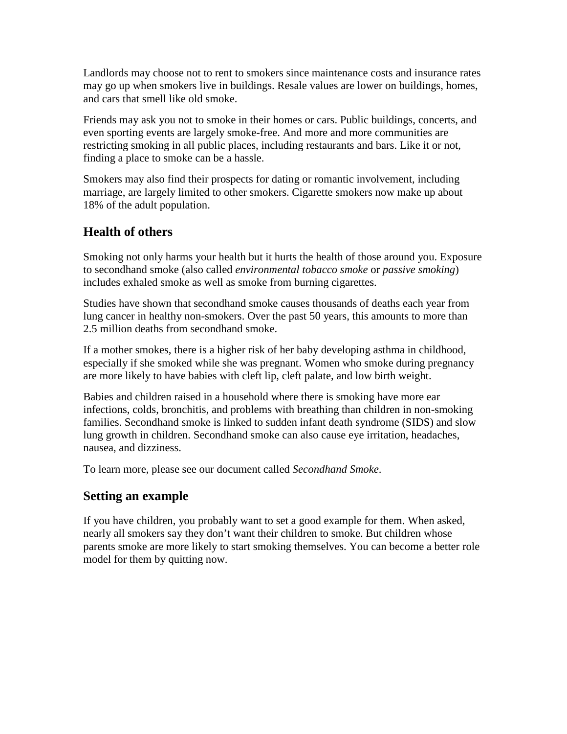Landlords may choose not to rent to smokers since maintenance costs and insurance rates may go up when smokers live in buildings. Resale values are lower on buildings, homes, and cars that smell like old smoke.

Friends may ask you not to smoke in their homes or cars. Public buildings, concerts, and even sporting events are largely smoke-free. And more and more communities are restricting smoking in all public places, including restaurants and bars. Like it or not, finding a place to smoke can be a hassle.

Smokers may also find their prospects for dating or romantic involvement, including marriage, are largely limited to other smokers. Cigarette smokers now make up about 18% of the adult population.

### **Health of others**

Smoking not only harms your health but it hurts the health of those around you. Exposure to secondhand smoke (also called *environmental tobacco smoke* or *passive smoking*) includes exhaled smoke as well as smoke from burning cigarettes.

Studies have shown that secondhand smoke causes thousands of deaths each year from lung cancer in healthy non-smokers. Over the past 50 years, this amounts to more than 2.5 million deaths from secondhand smoke.

If a mother smokes, there is a higher risk of her baby developing asthma in childhood, especially if she smoked while she was pregnant. Women who smoke during pregnancy are more likely to have babies with cleft lip, cleft palate, and low birth weight.

Babies and children raised in a household where there is smoking have more ear infections, colds, bronchitis, and problems with breathing than children in non-smoking families. Secondhand smoke is linked to sudden infant death syndrome (SIDS) and slow lung growth in children. Secondhand smoke can also cause eye irritation, headaches, nausea, and dizziness.

To learn more, please see our document called *Secondhand Smoke*.

### **Setting an example**

If you have children, you probably want to set a good example for them. When asked, nearly all smokers say they don't want their children to smoke. But children whose parents smoke are more likely to start smoking themselves. You can become a better role model for them by quitting now.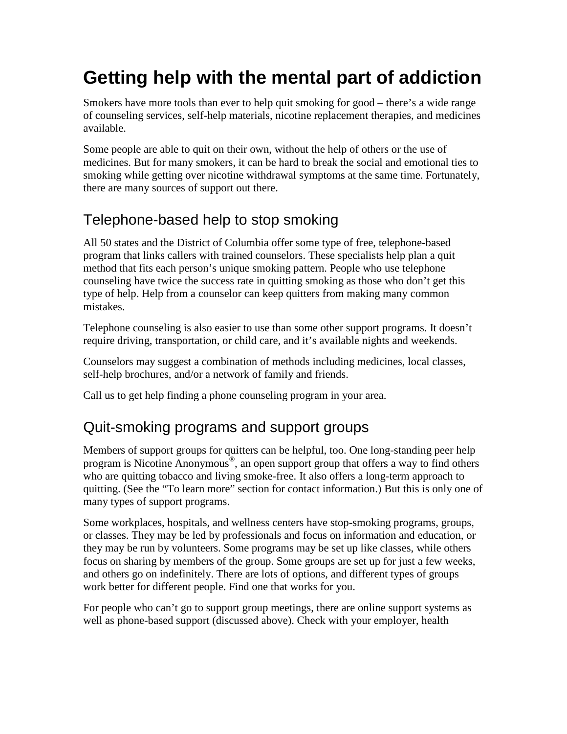# **Getting help with the mental part of addiction**

Smokers have more tools than ever to help quit smoking for good – there's a wide range of counseling services, self-help materials, nicotine replacement therapies, and medicines available.

Some people are able to quit on their own, without the help of others or the use of medicines. But for many smokers, it can be hard to break the social and emotional ties to smoking while getting over nicotine withdrawal symptoms at the same time. Fortunately, there are many sources of support out there.

## Telephone-based help to stop smoking

All 50 states and the District of Columbia offer some type of free, telephone-based program that links callers with trained counselors. These specialists help plan a quit method that fits each person's unique smoking pattern. People who use telephone counseling have twice the success rate in quitting smoking as those who don't get this type of help. Help from a counselor can keep quitters from making many common mistakes.

Telephone counseling is also easier to use than some other support programs. It doesn't require driving, transportation, or child care, and it's available nights and weekends.

Counselors may suggest a combination of methods including medicines, local classes, self-help brochures, and/or a network of family and friends.

Call us to get help finding a phone counseling program in your area.

## Quit-smoking programs and support groups

Members of support groups for quitters can be helpful, too. One long-standing peer help program is Nicotine Anonymous® , an open support group that offers a way to find others who are quitting tobacco and living smoke-free. It also offers a long-term approach to quitting. (See the "To learn more" section for contact information.) But this is only one of many types of support programs.

Some workplaces, hospitals, and wellness centers have stop-smoking programs, groups, or classes. They may be led by professionals and focus on information and education, or they may be run by volunteers. Some programs may be set up like classes, while others focus on sharing by members of the group. Some groups are set up for just a few weeks, and others go on indefinitely. There are lots of options, and different types of groups work better for different people. Find one that works for you.

For people who can't go to support group meetings, there are online support systems as well as phone-based support (discussed above). Check with your employer, health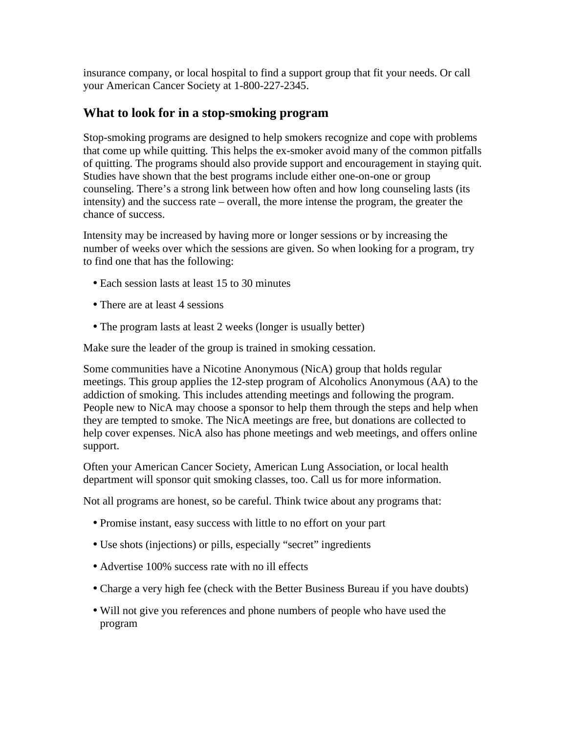insurance company, or local hospital to find a support group that fit your needs. Or call your American Cancer Society at 1-800-227-2345.

#### **What to look for in a stop-smoking program**

Stop-smoking programs are designed to help smokers recognize and cope with problems that come up while quitting. This helps the ex-smoker avoid many of the common pitfalls of quitting. The programs should also provide support and encouragement in staying quit. Studies have shown that the best programs include either one-on-one or group counseling. There's a strong link between how often and how long counseling lasts (its intensity) and the success rate – overall, the more intense the program, the greater the chance of success.

Intensity may be increased by having more or longer sessions or by increasing the number of weeks over which the sessions are given. So when looking for a program, try to find one that has the following:

- Each session lasts at least 15 to 30 minutes
- There are at least 4 sessions
- The program lasts at least 2 weeks (longer is usually better)

Make sure the leader of the group is trained in smoking cessation.

Some communities have a Nicotine Anonymous (NicA) group that holds regular meetings. This group applies the 12-step program of Alcoholics Anonymous (AA) to the addiction of smoking. This includes attending meetings and following the program. People new to NicA may choose a sponsor to help them through the steps and help when they are tempted to smoke. The NicA meetings are free, but donations are collected to help cover expenses. NicA also has phone meetings and web meetings, and offers online support.

Often your American Cancer Society, American Lung Association, or local health department will sponsor quit smoking classes, too. Call us for more information.

Not all programs are honest, so be careful. Think twice about any programs that:

- Promise instant, easy success with little to no effort on your part
- Use shots (injections) or pills, especially "secret" ingredients
- Advertise 100% success rate with no ill effects
- Charge a very high fee (check with the Better Business Bureau if you have doubts)
- Will not give you references and phone numbers of people who have used the program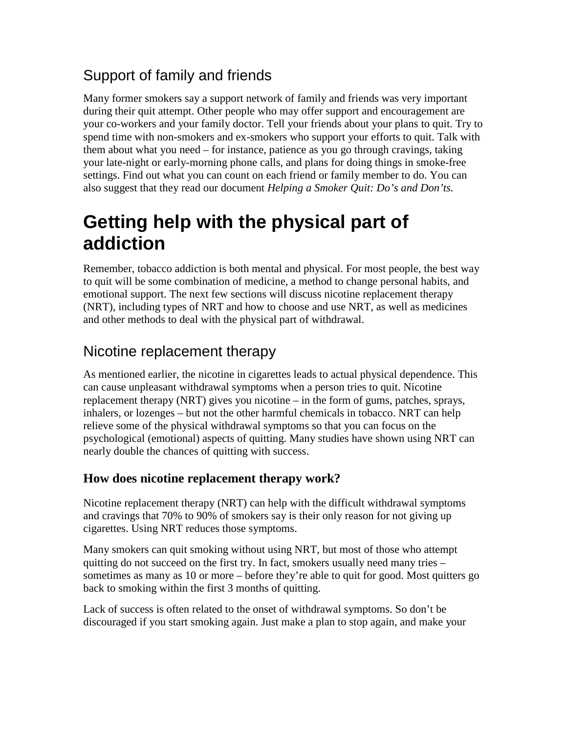## Support of family and friends

Many former smokers say a support network of family and friends was very important during their quit attempt. Other people who may offer support and encouragement are your co-workers and your family doctor. Tell your friends about your plans to quit. Try to spend time with non-smokers and ex-smokers who support your efforts to quit. Talk with them about what you need – for instance, patience as you go through cravings, taking your late-night or early-morning phone calls, and plans for doing things in smoke-free settings. Find out what you can count on each friend or family member to do. You can also suggest that they read our document *Helping a Smoker Quit: Do's and Don'ts.*

# **Getting help with the physical part of addiction**

Remember, tobacco addiction is both mental and physical. For most people, the best way to quit will be some combination of medicine, a method to change personal habits, and emotional support. The next few sections will discuss nicotine replacement therapy (NRT), including types of NRT and how to choose and use NRT, as well as medicines and other methods to deal with the physical part of withdrawal.

## Nicotine replacement therapy

As mentioned earlier, the nicotine in cigarettes leads to actual physical dependence. This can cause unpleasant withdrawal symptoms when a person tries to quit. Nicotine replacement therapy (NRT) gives you nicotine – in the form of gums, patches, sprays, inhalers, or lozenges – but not the other harmful chemicals in tobacco. NRT can help relieve some of the physical withdrawal symptoms so that you can focus on the psychological (emotional) aspects of quitting. Many studies have shown using NRT can nearly double the chances of quitting with success.

### **How does nicotine replacement therapy work?**

Nicotine replacement therapy (NRT) can help with the difficult withdrawal symptoms and cravings that 70% to 90% of smokers say is their only reason for not giving up cigarettes. Using NRT reduces those symptoms.

Many smokers can quit smoking without using NRT, but most of those who attempt quitting do not succeed on the first try. In fact, smokers usually need many tries – sometimes as many as 10 or more – before they're able to quit for good. Most quitters go back to smoking within the first 3 months of quitting.

Lack of success is often related to the onset of withdrawal symptoms. So don't be discouraged if you start smoking again. Just make a plan to stop again, and make your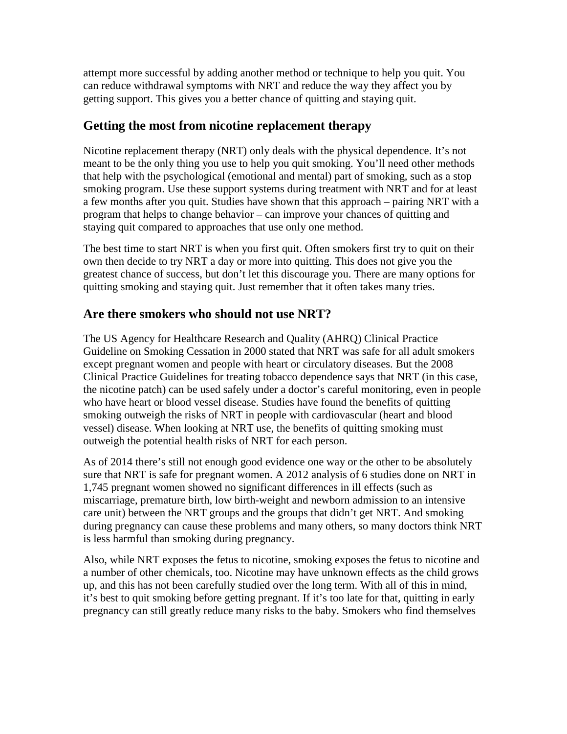attempt more successful by adding another method or technique to help you quit. You can reduce withdrawal symptoms with NRT and reduce the way they affect you by getting support. This gives you a better chance of quitting and staying quit.

### **Getting the most from nicotine replacement therapy**

Nicotine replacement therapy (NRT) only deals with the physical dependence. It's not meant to be the only thing you use to help you quit smoking. You'll need other methods that help with the psychological (emotional and mental) part of smoking, such as a stop smoking program. Use these support systems during treatment with NRT and for at least a few months after you quit. Studies have shown that this approach – pairing NRT with a program that helps to change behavior – can improve your chances of quitting and staying quit compared to approaches that use only one method.

The best time to start NRT is when you first quit. Often smokers first try to quit on their own then decide to try NRT a day or more into quitting. This does not give you the greatest chance of success, but don't let this discourage you. There are many options for quitting smoking and staying quit. Just remember that it often takes many tries.

### **Are there smokers who should not use NRT?**

The US Agency for Healthcare Research and Quality (AHRQ) Clinical Practice Guideline on Smoking Cessation in 2000 stated that NRT was safe for all adult smokers except pregnant women and people with heart or circulatory diseases. But the 2008 Clinical Practice Guidelines for treating tobacco dependence says that NRT (in this case, the nicotine patch) can be used safely under a doctor's careful monitoring, even in people who have heart or blood vessel disease. Studies have found the benefits of quitting smoking outweigh the risks of NRT in people with cardiovascular (heart and blood vessel) disease. When looking at NRT use, the benefits of quitting smoking must outweigh the potential health risks of NRT for each person.

As of 2014 there's still not enough good evidence one way or the other to be absolutely sure that NRT is safe for pregnant women. A 2012 analysis of 6 studies done on NRT in 1,745 pregnant women showed no significant differences in ill effects (such as miscarriage, premature birth, low birth-weight and newborn admission to an intensive care unit) between the NRT groups and the groups that didn't get NRT. And smoking during pregnancy can cause these problems and many others, so many doctors think NRT is less harmful than smoking during pregnancy.

Also, while NRT exposes the fetus to nicotine, smoking exposes the fetus to nicotine and a number of other chemicals, too. Nicotine may have unknown effects as the child grows up, and this has not been carefully studied over the long term. With all of this in mind, it's best to quit smoking before getting pregnant. If it's too late for that, quitting in early pregnancy can still greatly reduce many risks to the baby. Smokers who find themselves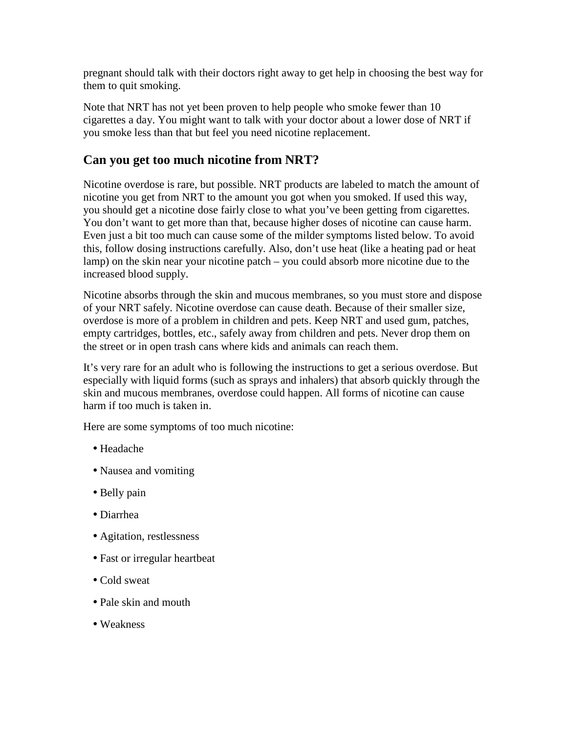pregnant should talk with their doctors right away to get help in choosing the best way for them to quit smoking.

Note that NRT has not yet been proven to help people who smoke fewer than 10 cigarettes a day. You might want to talk with your doctor about a lower dose of NRT if you smoke less than that but feel you need nicotine replacement.

### **Can you get too much nicotine from NRT?**

Nicotine overdose is rare, but possible. NRT products are labeled to match the amount of nicotine you get from NRT to the amount you got when you smoked. If used this way, you should get a nicotine dose fairly close to what you've been getting from cigarettes. You don't want to get more than that, because higher doses of nicotine can cause harm. Even just a bit too much can cause some of the milder symptoms listed below. To avoid this, follow dosing instructions carefully. Also, don't use heat (like a heating pad or heat lamp) on the skin near your nicotine patch – you could absorb more nicotine due to the increased blood supply.

Nicotine absorbs through the skin and mucous membranes, so you must store and dispose of your NRT safely. Nicotine overdose can cause death. Because of their smaller size, overdose is more of a problem in children and pets. Keep NRT and used gum, patches, empty cartridges, bottles, etc., safely away from children and pets. Never drop them on the street or in open trash cans where kids and animals can reach them.

It's very rare for an adult who is following the instructions to get a serious overdose. But especially with liquid forms (such as sprays and inhalers) that absorb quickly through the skin and mucous membranes, overdose could happen. All forms of nicotine can cause harm if too much is taken in.

Here are some symptoms of too much nicotine:

- Headache
- Nausea and vomiting
- Belly pain
- Diarrhea
- Agitation, restlessness
- Fast or irregular heartbeat
- Cold sweat
- Pale skin and mouth
- Weakness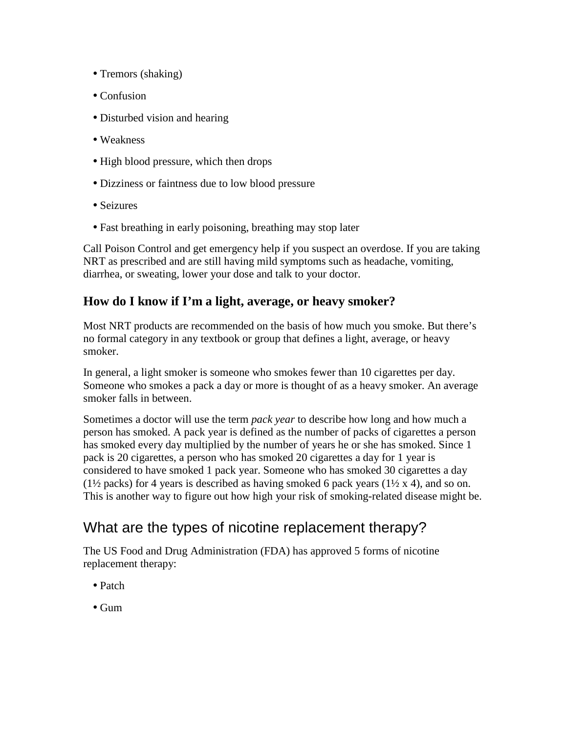- Tremors (shaking)
- Confusion
- Disturbed vision and hearing
- Weakness
- High blood pressure, which then drops
- Dizziness or faintness due to low blood pressure
- Seizures
- Fast breathing in early poisoning, breathing may stop later

Call Poison Control and get emergency help if you suspect an overdose. If you are taking NRT as prescribed and are still having mild symptoms such as headache, vomiting, diarrhea, or sweating, lower your dose and talk to your doctor.

### **How do I know if I'm a light, average, or heavy smoker?**

Most NRT products are recommended on the basis of how much you smoke. But there's no formal category in any textbook or group that defines a light, average, or heavy smoker.

In general, a light smoker is someone who smokes fewer than 10 cigarettes per day. Someone who smokes a pack a day or more is thought of as a heavy smoker. An average smoker falls in between.

Sometimes a doctor will use the term *pack year* to describe how long and how much a person has smoked. A pack year is defined as the number of packs of cigarettes a person has smoked every day multiplied by the number of years he or she has smoked. Since 1 pack is 20 cigarettes, a person who has smoked 20 cigarettes a day for 1 year is considered to have smoked 1 pack year. Someone who has smoked 30 cigarettes a day ( $1\frac{1}{2}$  packs) for 4 years is described as having smoked 6 pack years ( $1\frac{1}{2}$  x 4), and so on. This is another way to figure out how high your risk of smoking-related disease might be.

## What are the types of nicotine replacement therapy?

The US Food and Drug Administration (FDA) has approved 5 forms of nicotine replacement therapy:

- Patch
- Gum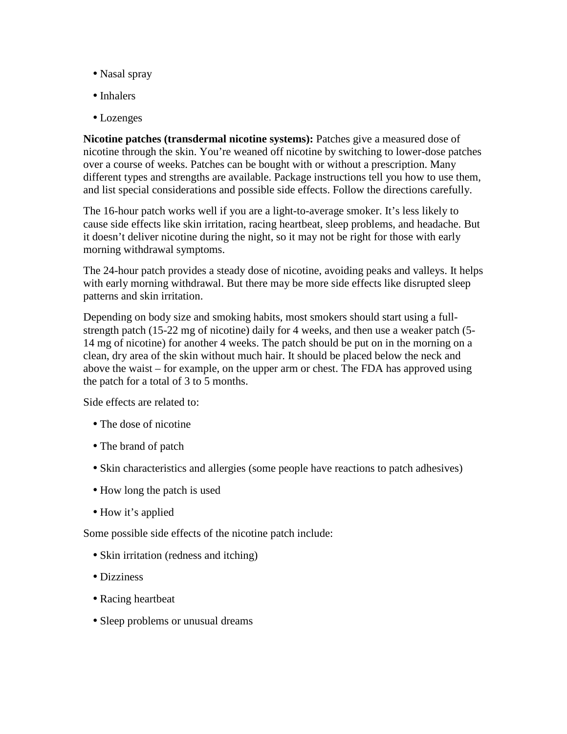- Nasal spray
- Inhalers
- Lozenges

**Nicotine patches (transdermal nicotine systems):** Patches give a measured dose of nicotine through the skin. You're weaned off nicotine by switching to lower-dose patches over a course of weeks. Patches can be bought with or without a prescription. Many different types and strengths are available. Package instructions tell you how to use them, and list special considerations and possible side effects. Follow the directions carefully.

The 16-hour patch works well if you are a light-to-average smoker. It's less likely to cause side effects like skin irritation, racing heartbeat, sleep problems, and headache. But it doesn't deliver nicotine during the night, so it may not be right for those with early morning withdrawal symptoms.

The 24-hour patch provides a steady dose of nicotine, avoiding peaks and valleys. It helps with early morning withdrawal. But there may be more side effects like disrupted sleep patterns and skin irritation.

Depending on body size and smoking habits, most smokers should start using a fullstrength patch (15-22 mg of nicotine) daily for 4 weeks, and then use a weaker patch (5- 14 mg of nicotine) for another 4 weeks. The patch should be put on in the morning on a clean, dry area of the skin without much hair. It should be placed below the neck and above the waist – for example, on the upper arm or chest. The FDA has approved using the patch for a total of 3 to 5 months.

Side effects are related to:

- The dose of nicotine
- The brand of patch
- Skin characteristics and allergies (some people have reactions to patch adhesives)
- How long the patch is used
- How it's applied

Some possible side effects of the nicotine patch include:

- Skin irritation (redness and itching)
- Dizziness
- Racing heartbeat
- Sleep problems or unusual dreams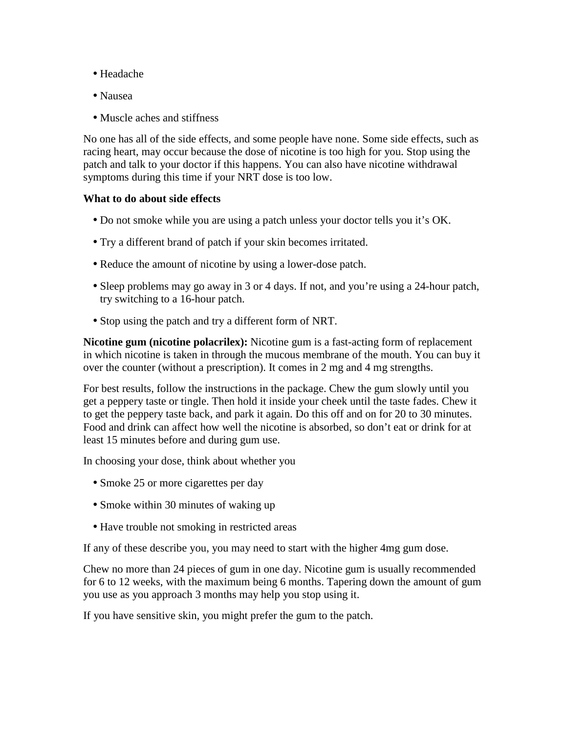- Headache
- Nausea
- Muscle aches and stiffness

No one has all of the side effects, and some people have none. Some side effects, such as racing heart, may occur because the dose of nicotine is too high for you. Stop using the patch and talk to your doctor if this happens. You can also have nicotine withdrawal symptoms during this time if your NRT dose is too low.

#### **What to do about side effects**

- Do not smoke while you are using a patch unless your doctor tells you it's OK.
- Try a different brand of patch if your skin becomes irritated.
- Reduce the amount of nicotine by using a lower-dose patch.
- Sleep problems may go away in 3 or 4 days. If not, and you're using a 24-hour patch, try switching to a 16-hour patch.
- Stop using the patch and try a different form of NRT.

**Nicotine gum (nicotine polacrilex):** Nicotine gum is a fast-acting form of replacement in which nicotine is taken in through the mucous membrane of the mouth. You can buy it over the counter (without a prescription). It comes in 2 mg and 4 mg strengths.

For best results, follow the instructions in the package. Chew the gum slowly until you get a peppery taste or tingle. Then hold it inside your cheek until the taste fades. Chew it to get the peppery taste back, and park it again. Do this off and on for 20 to 30 minutes. Food and drink can affect how well the nicotine is absorbed, so don't eat or drink for at least 15 minutes before and during gum use.

In choosing your dose, think about whether you

- Smoke 25 or more cigarettes per day
- Smoke within 30 minutes of waking up
- Have trouble not smoking in restricted areas

If any of these describe you, you may need to start with the higher 4mg gum dose.

Chew no more than 24 pieces of gum in one day. Nicotine gum is usually recommended for 6 to 12 weeks, with the maximum being 6 months. Tapering down the amount of gum you use as you approach 3 months may help you stop using it.

If you have sensitive skin, you might prefer the gum to the patch.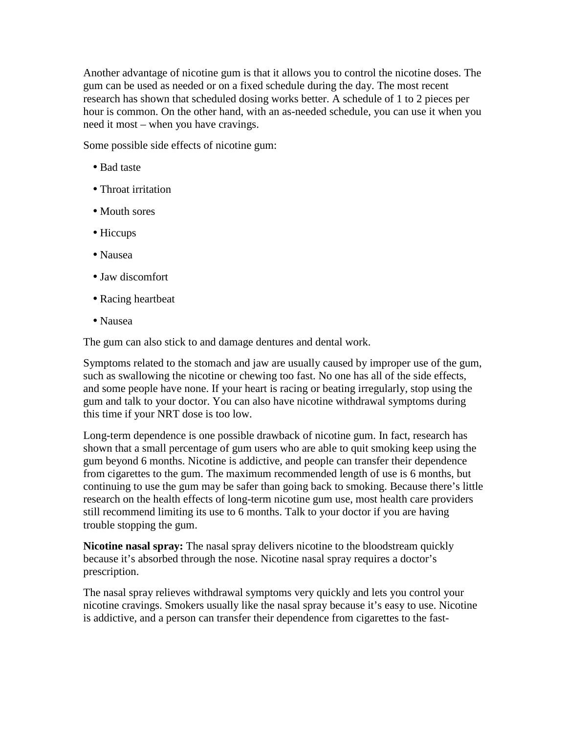Another advantage of nicotine gum is that it allows you to control the nicotine doses. The gum can be used as needed or on a fixed schedule during the day. The most recent research has shown that scheduled dosing works better. A schedule of 1 to 2 pieces per hour is common. On the other hand, with an as-needed schedule, you can use it when you need it most – when you have cravings.

Some possible side effects of nicotine gum:

- Bad taste
- Throat irritation
- Mouth sores
- Hiccups
- Nausea
- Jaw discomfort
- Racing heartbeat
- Nausea

The gum can also stick to and damage dentures and dental work.

Symptoms related to the stomach and jaw are usually caused by improper use of the gum, such as swallowing the nicotine or chewing too fast. No one has all of the side effects, and some people have none. If your heart is racing or beating irregularly, stop using the gum and talk to your doctor. You can also have nicotine withdrawal symptoms during this time if your NRT dose is too low.

Long-term dependence is one possible drawback of nicotine gum. In fact, research has shown that a small percentage of gum users who are able to quit smoking keep using the gum beyond 6 months. Nicotine is addictive, and people can transfer their dependence from cigarettes to the gum. The maximum recommended length of use is 6 months, but continuing to use the gum may be safer than going back to smoking. Because there's little research on the health effects of long-term nicotine gum use, most health care providers still recommend limiting its use to 6 months. Talk to your doctor if you are having trouble stopping the gum.

**Nicotine nasal spray:** The nasal spray delivers nicotine to the bloodstream quickly because it's absorbed through the nose. Nicotine nasal spray requires a doctor's prescription.

The nasal spray relieves withdrawal symptoms very quickly and lets you control your nicotine cravings. Smokers usually like the nasal spray because it's easy to use. Nicotine is addictive, and a person can transfer their dependence from cigarettes to the fast-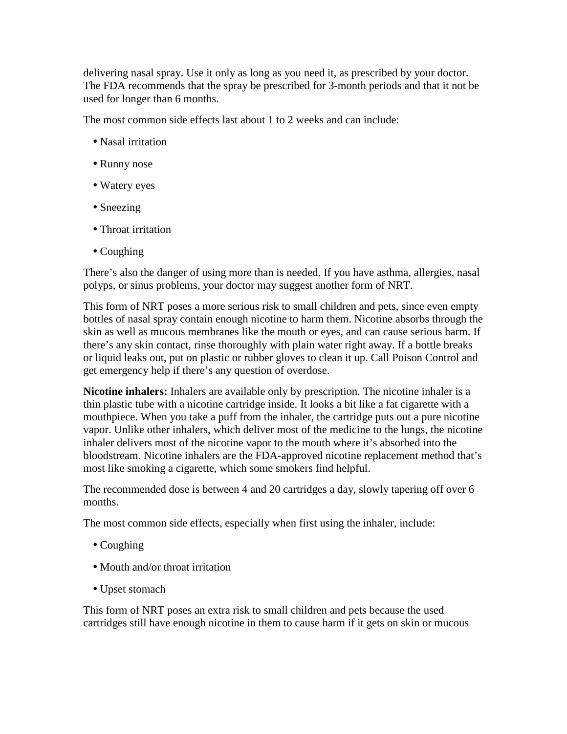delivering nasal spray. Use it only as long as you need it, as prescribed by your doctor. The FDA recommends that the spray be prescribed for 3-month periods and that it not be used for longer than 6 months.

The most common side effects last about 1 to 2 weeks and can include:

- Nasal irritation
- Runny nose
- Watery eyes
- Sneezing
- Throat irritation
- Coughing

There's also the danger of using more than is needed. If you have asthma, allergies, nasal polyps, or sinus problems, your doctor may suggest another form of NRT.

This form of NRT poses a more serious risk to small children and pets, since even empty bottles of nasal spray contain enough nicotine to harm them. Nicotine absorbs through the skin as well as mucous membranes like the mouth or eyes, and can cause serious harm. If there's any skin contact, rinse thoroughly with plain water right away. If a bottle breaks or liquid leaks out, put on plastic or rubber gloves to clean it up. Call Poison Control and get emergency help if there's any question of overdose.

**Nicotine inhalers:** Inhalers are available only by prescription. The nicotine inhaler is a thin plastic tube with a nicotine cartridge inside. It looks a bit like a fat cigarette with a mouthpiece. When you take a puff from the inhaler, the cartridge puts out a pure nicotine vapor. Unlike other inhalers, which deliver most of the medicine to the lungs, the nicotine inhaler delivers most of the nicotine vapor to the mouth where it's absorbed into the bloodstream. Nicotine inhalers are the FDA-approved nicotine replacement method that's most like smoking a cigarette, which some smokers find helpful.

The recommended dose is between 4 and 20 cartridges a day, slowly tapering off over 6 months.

The most common side effects, especially when first using the inhaler, include:

- Coughing
- Mouth and/or throat irritation
- Upset stomach

This form of NRT poses an extra risk to small children and pets because the used cartridges still have enough nicotine in them to cause harm if it gets on skin or mucous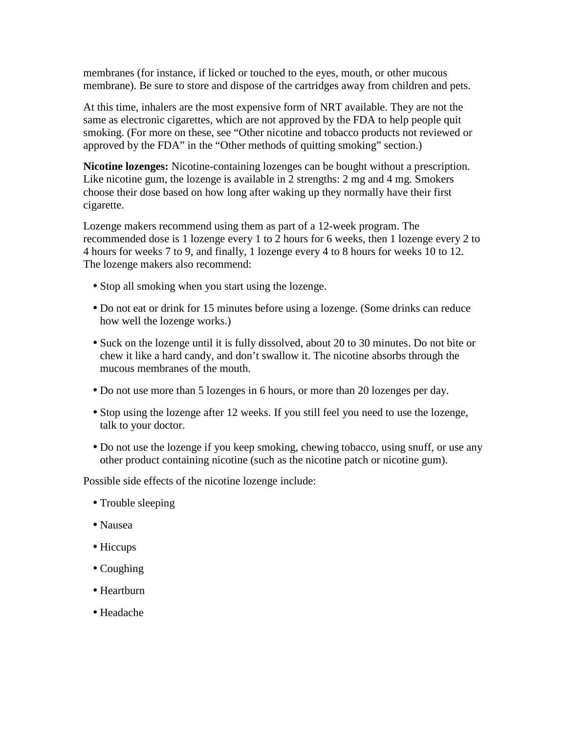membranes (for instance, if licked or touched to the eyes, mouth, or other mucous membrane). Be sure to store and dispose of the cartridges away from children and pets.

At this time, inhalers are the most expensive form of NRT available. They are not the same as electronic cigarettes, which are not approved by the FDA to help people quit smoking. (For more on these, see "Other nicotine and tobacco products not reviewed or approved by the FDA" in the "Other methods of quitting smoking" section.)

**Nicotine lozenges:** Nicotine-containing lozenges can be bought without a prescription. Like nicotine gum, the lozenge is available in 2 strengths: 2 mg and 4 mg. Smokers choose their dose based on how long after waking up they normally have their first cigarette.

Lozenge makers recommend using them as part of a 12-week program. The recommended dose is 1 lozenge every 1 to 2 hours for 6 weeks, then 1 lozenge every 2 to 4 hours for weeks 7 to 9, and finally, 1 lozenge every 4 to 8 hours for weeks 10 to 12. The lozenge makers also recommend:

- Stop all smoking when you start using the lozenge.
- Do not eat or drink for 15 minutes before using a lozenge. (Some drinks can reduce how well the lozenge works.)
- Suck on the lozenge until it is fully dissolved, about 20 to 30 minutes. Do not bite or chew it like a hard candy, and don't swallow it. The nicotine absorbs through the mucous membranes of the mouth.
- Do not use more than 5 lozenges in 6 hours, or more than 20 lozenges per day.
- Stop using the lozenge after 12 weeks. If you still feel you need to use the lozenge, talk to your doctor.
- Do not use the lozenge if you keep smoking, chewing tobacco, using snuff, or use any other product containing nicotine (such as the nicotine patch or nicotine gum).

Possible side effects of the nicotine lozenge include:

- Trouble sleeping
- Nausea
- Hiccups
- Coughing
- Heartburn
- Headache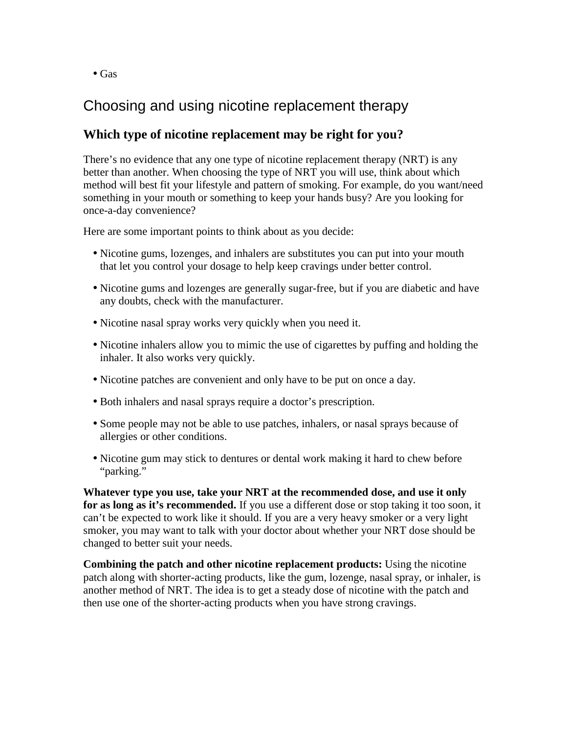• Gas

### Choosing and using nicotine replacement therapy

### **Which type of nicotine replacement may be right for you?**

There's no evidence that any one type of nicotine replacement therapy (NRT) is any better than another. When choosing the type of NRT you will use, think about which method will best fit your lifestyle and pattern of smoking. For example, do you want/need something in your mouth or something to keep your hands busy? Are you looking for once-a-day convenience?

Here are some important points to think about as you decide:

- Nicotine gums, lozenges, and inhalers are substitutes you can put into your mouth that let you control your dosage to help keep cravings under better control.
- Nicotine gums and lozenges are generally sugar-free, but if you are diabetic and have any doubts, check with the manufacturer.
- Nicotine nasal spray works very quickly when you need it.
- Nicotine inhalers allow you to mimic the use of cigarettes by puffing and holding the inhaler. It also works very quickly.
- Nicotine patches are convenient and only have to be put on once a day.
- Both inhalers and nasal sprays require a doctor's prescription.
- Some people may not be able to use patches, inhalers, or nasal sprays because of allergies or other conditions.
- Nicotine gum may stick to dentures or dental work making it hard to chew before "parking."

**Whatever type you use, take your NRT at the recommended dose, and use it only for as long as it's recommended.** If you use a different dose or stop taking it too soon, it can't be expected to work like it should. If you are a very heavy smoker or a very light smoker, you may want to talk with your doctor about whether your NRT dose should be changed to better suit your needs.

**Combining the patch and other nicotine replacement products:** Using the nicotine patch along with shorter-acting products, like the gum, lozenge, nasal spray, or inhaler, is another method of NRT. The idea is to get a steady dose of nicotine with the patch and then use one of the shorter-acting products when you have strong cravings.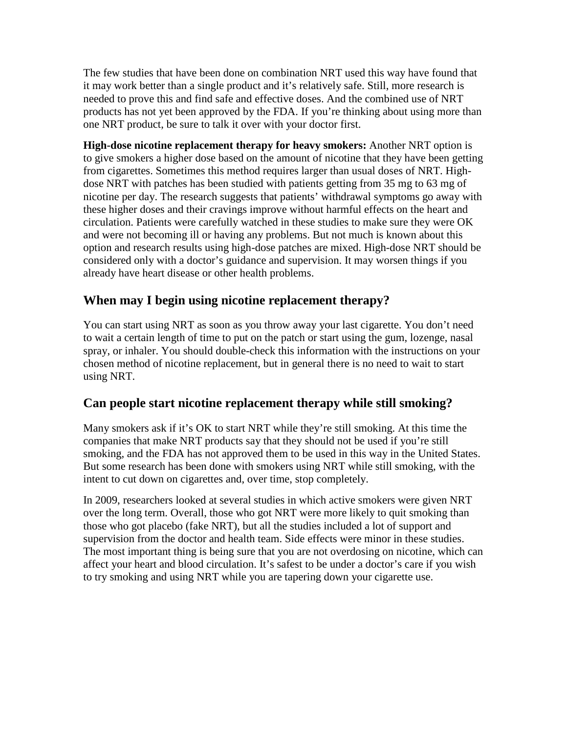The few studies that have been done on combination NRT used this way have found that it may work better than a single product and it's relatively safe. Still, more research is needed to prove this and find safe and effective doses. And the combined use of NRT products has not yet been approved by the FDA. If you're thinking about using more than one NRT product, be sure to talk it over with your doctor first.

**High-dose nicotine replacement therapy for heavy smokers:** Another NRT option is to give smokers a higher dose based on the amount of nicotine that they have been getting from cigarettes. Sometimes this method requires larger than usual doses of NRT. Highdose NRT with patches has been studied with patients getting from 35 mg to 63 mg of nicotine per day. The research suggests that patients' withdrawal symptoms go away with these higher doses and their cravings improve without harmful effects on the heart and circulation. Patients were carefully watched in these studies to make sure they were OK and were not becoming ill or having any problems. But not much is known about this option and research results using high-dose patches are mixed. High-dose NRT should be considered only with a doctor's guidance and supervision. It may worsen things if you already have heart disease or other health problems.

### **When may I begin using nicotine replacement therapy?**

You can start using NRT as soon as you throw away your last cigarette. You don't need to wait a certain length of time to put on the patch or start using the gum, lozenge, nasal spray, or inhaler. You should double-check this information with the instructions on your chosen method of nicotine replacement, but in general there is no need to wait to start using NRT.

### **Can people start nicotine replacement therapy while still smoking?**

Many smokers ask if it's OK to start NRT while they're still smoking. At this time the companies that make NRT products say that they should not be used if you're still smoking, and the FDA has not approved them to be used in this way in the United States. But some research has been done with smokers using NRT while still smoking, with the intent to cut down on cigarettes and, over time, stop completely.

In 2009, researchers looked at several studies in which active smokers were given NRT over the long term. Overall, those who got NRT were more likely to quit smoking than those who got placebo (fake NRT), but all the studies included a lot of support and supervision from the doctor and health team. Side effects were minor in these studies. The most important thing is being sure that you are not overdosing on nicotine, which can affect your heart and blood circulation. It's safest to be under a doctor's care if you wish to try smoking and using NRT while you are tapering down your cigarette use.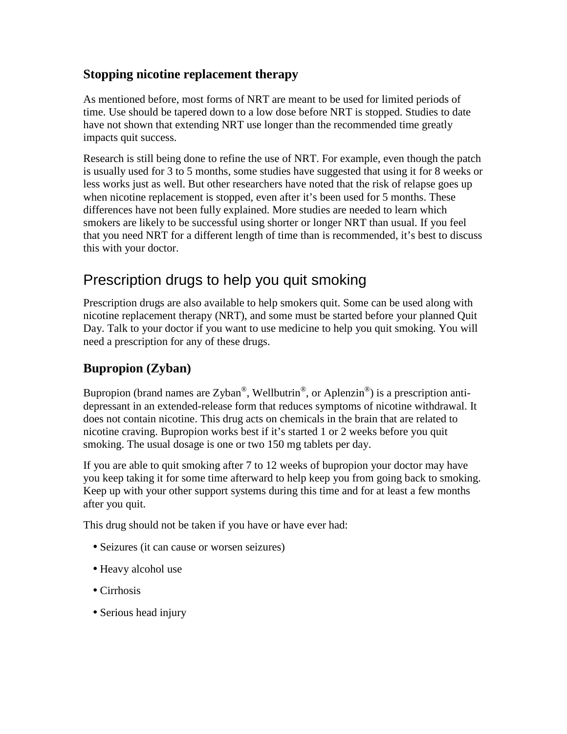### **Stopping nicotine replacement therapy**

As mentioned before, most forms of NRT are meant to be used for limited periods of time. Use should be tapered down to a low dose before NRT is stopped. Studies to date have not shown that extending NRT use longer than the recommended time greatly impacts quit success.

Research is still being done to refine the use of NRT. For example, even though the patch is usually used for 3 to 5 months, some studies have suggested that using it for 8 weeks or less works just as well. But other researchers have noted that the risk of relapse goes up when nicotine replacement is stopped, even after it's been used for 5 months. These differences have not been fully explained. More studies are needed to learn which smokers are likely to be successful using shorter or longer NRT than usual. If you feel that you need NRT for a different length of time than is recommended, it's best to discuss this with your doctor.

## Prescription drugs to help you quit smoking

Prescription drugs are also available to help smokers quit. Some can be used along with nicotine replacement therapy (NRT), and some must be started before your planned Quit Day. Talk to your doctor if you want to use medicine to help you quit smoking. You will need a prescription for any of these drugs.

### **Bupropion (Zyban)**

Bupropion (brand names are Zyban<sup>®</sup>, Wellbutrin<sup>®</sup>, or Aplenzin<sup>®</sup>) is a prescription antidepressant in an extended-release form that reduces symptoms of nicotine withdrawal. It does not contain nicotine. This drug acts on chemicals in the brain that are related to nicotine craving. Bupropion works best if it's started 1 or 2 weeks before you quit smoking. The usual dosage is one or two 150 mg tablets per day.

If you are able to quit smoking after 7 to 12 weeks of bupropion your doctor may have you keep taking it for some time afterward to help keep you from going back to smoking. Keep up with your other support systems during this time and for at least a few months after you quit.

This drug should not be taken if you have or have ever had:

- Seizures (it can cause or worsen seizures)
- Heavy alcohol use
- Cirrhosis
- Serious head injury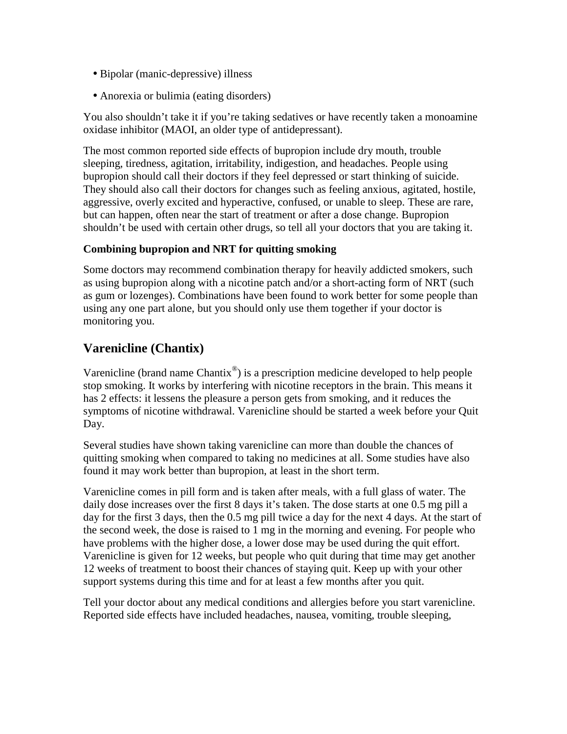- Bipolar (manic-depressive) illness
- Anorexia or bulimia (eating disorders)

You also shouldn't take it if you're taking sedatives or have recently taken a monoamine oxidase inhibitor (MAOI, an older type of antidepressant).

The most common reported side effects of bupropion include dry mouth, trouble sleeping, tiredness, agitation, irritability, indigestion, and headaches. People using bupropion should call their doctors if they feel depressed or start thinking of suicide. They should also call their doctors for changes such as feeling anxious, agitated, hostile, aggressive, overly excited and hyperactive, confused, or unable to sleep. These are rare, but can happen, often near the start of treatment or after a dose change. Bupropion shouldn't be used with certain other drugs, so tell all your doctors that you are taking it.

#### **Combining bupropion and NRT for quitting smoking**

Some doctors may recommend combination therapy for heavily addicted smokers, such as using bupropion along with a nicotine patch and/or a short-acting form of NRT (such as gum or lozenges). Combinations have been found to work better for some people than using any one part alone, but you should only use them together if your doctor is monitoring you.

### **Varenicline (Chantix)**

Varenicline (brand name Chantix $^{\circledR}$ ) is a prescription medicine developed to help people stop smoking. It works by interfering with nicotine receptors in the brain. This means it has 2 effects: it lessens the pleasure a person gets from smoking, and it reduces the symptoms of nicotine withdrawal. Varenicline should be started a week before your Quit Day.

Several studies have shown taking varenicline can more than double the chances of quitting smoking when compared to taking no medicines at all. Some studies have also found it may work better than bupropion, at least in the short term.

Varenicline comes in pill form and is taken after meals, with a full glass of water. The daily dose increases over the first 8 days it's taken. The dose starts at one 0.5 mg pill a day for the first 3 days, then the 0.5 mg pill twice a day for the next 4 days. At the start of the second week, the dose is raised to 1 mg in the morning and evening. For people who have problems with the higher dose, a lower dose may be used during the quit effort. Varenicline is given for 12 weeks, but people who quit during that time may get another 12 weeks of treatment to boost their chances of staying quit. Keep up with your other support systems during this time and for at least a few months after you quit.

Tell your doctor about any medical conditions and allergies before you start varenicline. Reported side effects have included headaches, nausea, vomiting, trouble sleeping,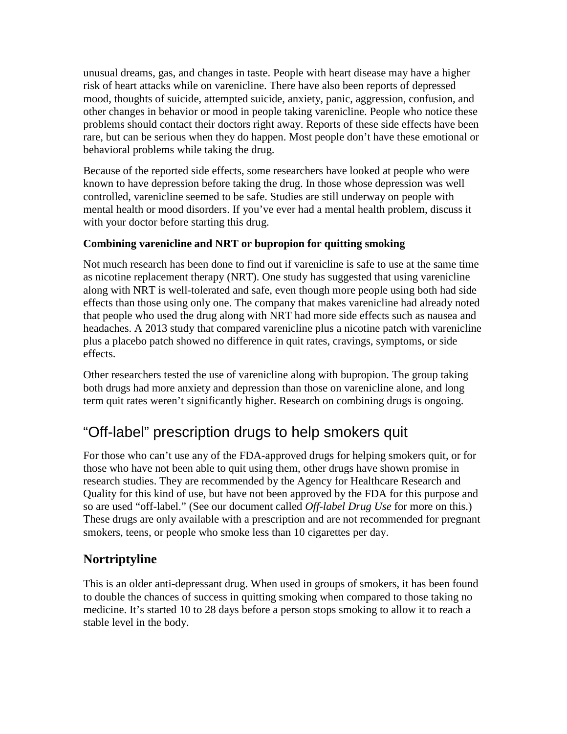unusual dreams, gas, and changes in taste. People with heart disease may have a higher risk of heart attacks while on varenicline. There have also been reports of depressed mood, thoughts of suicide, attempted suicide, anxiety, panic, aggression, confusion, and other changes in behavior or mood in people taking varenicline. People who notice these problems should contact their doctors right away. Reports of these side effects have been rare, but can be serious when they do happen. Most people don't have these emotional or behavioral problems while taking the drug.

Because of the reported side effects, some researchers have looked at people who were known to have depression before taking the drug. In those whose depression was well controlled, varenicline seemed to be safe. Studies are still underway on people with mental health or mood disorders. If you've ever had a mental health problem, discuss it with your doctor before starting this drug.

#### **Combining varenicline and NRT or bupropion for quitting smoking**

Not much research has been done to find out if varenicline is safe to use at the same time as nicotine replacement therapy (NRT). One study has suggested that using varenicline along with NRT is well-tolerated and safe, even though more people using both had side effects than those using only one. The company that makes varenicline had already noted that people who used the drug along with NRT had more side effects such as nausea and headaches. A 2013 study that compared varenicline plus a nicotine patch with varenicline plus a placebo patch showed no difference in quit rates, cravings, symptoms, or side effects.

Other researchers tested the use of varenicline along with bupropion. The group taking both drugs had more anxiety and depression than those on varenicline alone, and long term quit rates weren't significantly higher. Research on combining drugs is ongoing.

## "Off-label" prescription drugs to help smokers quit

For those who can't use any of the FDA-approved drugs for helping smokers quit, or for those who have not been able to quit using them, other drugs have shown promise in research studies. They are recommended by the Agency for Healthcare Research and Quality for this kind of use, but have not been approved by the FDA for this purpose and so are used "off-label." (See our document called *Off-label Drug Use* for more on this.) These drugs are only available with a prescription and are not recommended for pregnant smokers, teens, or people who smoke less than 10 cigarettes per day.

### **Nortriptyline**

This is an older anti-depressant drug. When used in groups of smokers, it has been found to double the chances of success in quitting smoking when compared to those taking no medicine. It's started 10 to 28 days before a person stops smoking to allow it to reach a stable level in the body.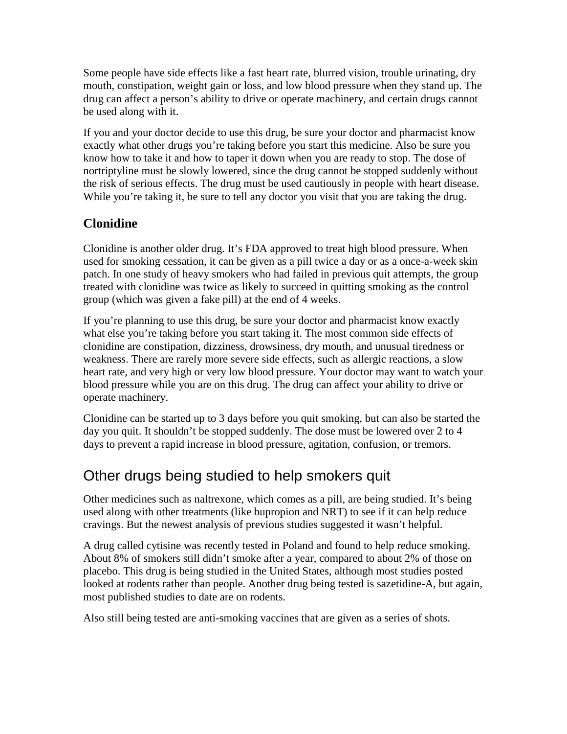Some people have side effects like a fast heart rate, blurred vision, trouble urinating, dry mouth, constipation, weight gain or loss, and low blood pressure when they stand up. The drug can affect a person's ability to drive or operate machinery, and certain drugs cannot be used along with it.

If you and your doctor decide to use this drug, be sure your doctor and pharmacist know exactly what other drugs you're taking before you start this medicine. Also be sure you know how to take it and how to taper it down when you are ready to stop. The dose of nortriptyline must be slowly lowered, since the drug cannot be stopped suddenly without the risk of serious effects. The drug must be used cautiously in people with heart disease. While you're taking it, be sure to tell any doctor you visit that you are taking the drug.

### **Clonidine**

Clonidine is another older drug. It's FDA approved to treat high blood pressure. When used for smoking cessation, it can be given as a pill twice a day or as a once-a-week skin patch. In one study of heavy smokers who had failed in previous quit attempts, the group treated with clonidine was twice as likely to succeed in quitting smoking as the control group (which was given a fake pill) at the end of 4 weeks.

If you're planning to use this drug, be sure your doctor and pharmacist know exactly what else you're taking before you start taking it. The most common side effects of clonidine are constipation, dizziness, drowsiness, dry mouth, and unusual tiredness or weakness. There are rarely more severe side effects, such as allergic reactions, a slow heart rate, and very high or very low blood pressure. Your doctor may want to watch your blood pressure while you are on this drug. The drug can affect your ability to drive or operate machinery.

Clonidine can be started up to 3 days before you quit smoking, but can also be started the day you quit. It shouldn't be stopped suddenly. The dose must be lowered over 2 to 4 days to prevent a rapid increase in blood pressure, agitation, confusion, or tremors.

## Other drugs being studied to help smokers quit

Other medicines such as naltrexone, which comes as a pill, are being studied. It's being used along with other treatments (like bupropion and NRT) to see if it can help reduce cravings. But the newest analysis of previous studies suggested it wasn't helpful.

A drug called cytisine was recently tested in Poland and found to help reduce smoking. About 8% of smokers still didn't smoke after a year, compared to about 2% of those on placebo. This drug is being studied in the United States, although most studies posted looked at rodents rather than people. Another drug being tested is sazetidine-A, but again, most published studies to date are on rodents.

Also still being tested are anti-smoking vaccines that are given as a series of shots.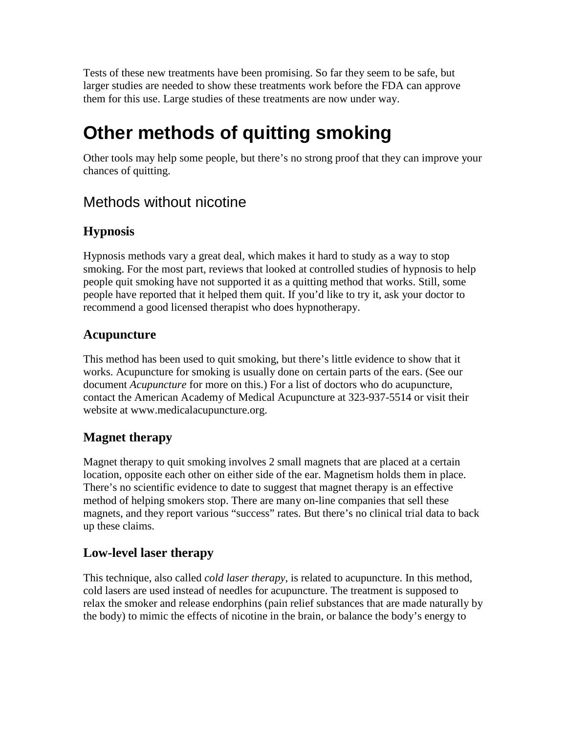Tests of these new treatments have been promising. So far they seem to be safe, but larger studies are needed to show these treatments work before the FDA can approve them for this use. Large studies of these treatments are now under way.

# **Other methods of quitting smoking**

Other tools may help some people, but there's no strong proof that they can improve your chances of quitting.

### Methods without nicotine

### **Hypnosis**

Hypnosis methods vary a great deal, which makes it hard to study as a way to stop smoking. For the most part, reviews that looked at controlled studies of hypnosis to help people quit smoking have not supported it as a quitting method that works. Still, some people have reported that it helped them quit. If you'd like to try it, ask your doctor to recommend a good licensed therapist who does hypnotherapy.

### **Acupuncture**

This method has been used to quit smoking, but there's little evidence to show that it works. Acupuncture for smoking is usually done on certain parts of the ears. (See our document *Acupuncture* for more on this.) For a list of doctors who do acupuncture, contact the American Academy of Medical Acupuncture at 323-937-5514 or visit their website at www.medicalacupuncture.org.

### **Magnet therapy**

Magnet therapy to quit smoking involves 2 small magnets that are placed at a certain location, opposite each other on either side of the ear. Magnetism holds them in place. There's no scientific evidence to date to suggest that magnet therapy is an effective method of helping smokers stop. There are many on-line companies that sell these magnets, and they report various "success" rates. But there's no clinical trial data to back up these claims.

### **Low-level laser therapy**

This technique, also called *cold laser therapy*, is related to acupuncture. In this method, cold lasers are used instead of needles for acupuncture. The treatment is supposed to relax the smoker and release endorphins (pain relief substances that are made naturally by the body) to mimic the effects of nicotine in the brain, or balance the body's energy to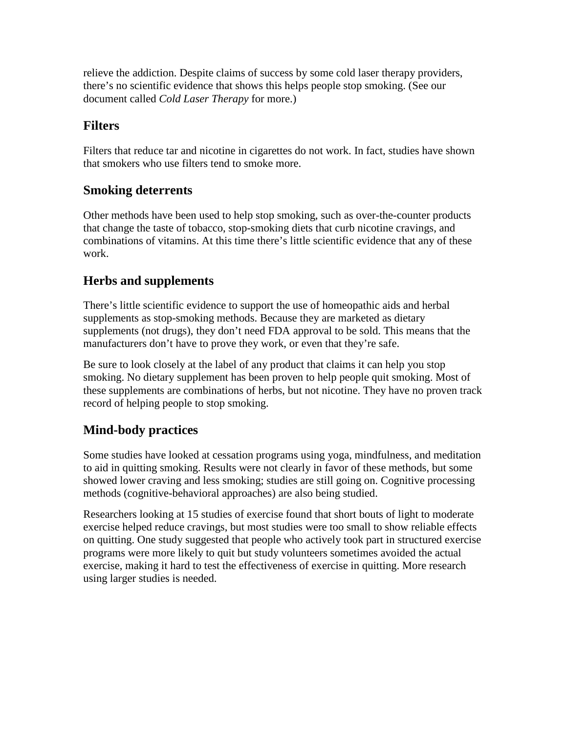relieve the addiction. Despite claims of success by some cold laser therapy providers, there's no scientific evidence that shows this helps people stop smoking. (See our document called *Cold Laser Therapy* for more.)

### **Filters**

Filters that reduce tar and nicotine in cigarettes do not work. In fact, studies have shown that smokers who use filters tend to smoke more.

### **Smoking deterrents**

Other methods have been used to help stop smoking, such as over-the-counter products that change the taste of tobacco, stop-smoking diets that curb nicotine cravings, and combinations of vitamins. At this time there's little scientific evidence that any of these work.

### **Herbs and supplements**

There's little scientific evidence to support the use of homeopathic aids and herbal supplements as stop-smoking methods. Because they are marketed as dietary supplements (not drugs), they don't need FDA approval to be sold. This means that the manufacturers don't have to prove they work, or even that they're safe.

Be sure to look closely at the label of any product that claims it can help you stop smoking. No dietary supplement has been proven to help people quit smoking. Most of these supplements are combinations of herbs, but not nicotine. They have no proven track record of helping people to stop smoking.

### **Mind-body practices**

Some studies have looked at cessation programs using yoga, mindfulness, and meditation to aid in quitting smoking. Results were not clearly in favor of these methods, but some showed lower craving and less smoking; studies are still going on. Cognitive processing methods (cognitive-behavioral approaches) are also being studied.

Researchers looking at 15 studies of exercise found that short bouts of light to moderate exercise helped reduce cravings, but most studies were too small to show reliable effects on quitting. One study suggested that people who actively took part in structured exercise programs were more likely to quit but study volunteers sometimes avoided the actual exercise, making it hard to test the effectiveness of exercise in quitting. More research using larger studies is needed.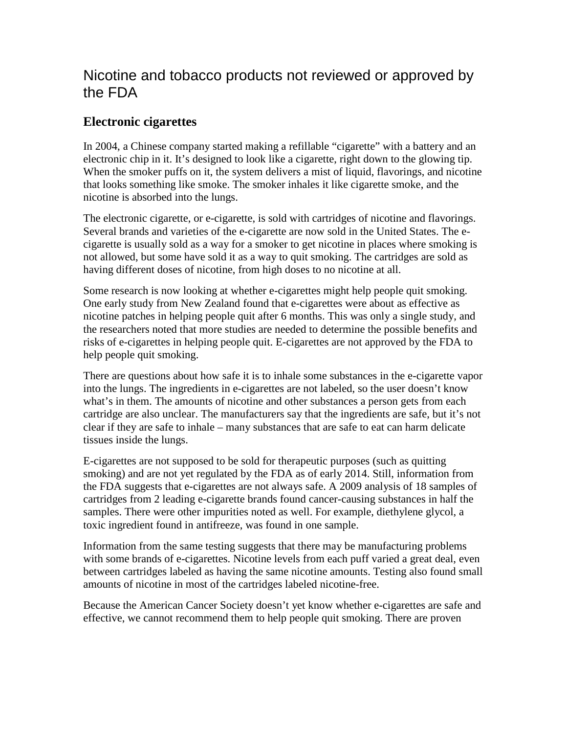### Nicotine and tobacco products not reviewed or approved by the FDA

### **Electronic cigarettes**

In 2004, a Chinese company started making a refillable "cigarette" with a battery and an electronic chip in it. It's designed to look like a cigarette, right down to the glowing tip. When the smoker puffs on it, the system delivers a mist of liquid, flavorings, and nicotine that looks something like smoke. The smoker inhales it like cigarette smoke, and the nicotine is absorbed into the lungs.

The electronic cigarette, or e-cigarette, is sold with cartridges of nicotine and flavorings. Several brands and varieties of the e-cigarette are now sold in the United States. The ecigarette is usually sold as a way for a smoker to get nicotine in places where smoking is not allowed, but some have sold it as a way to quit smoking. The cartridges are sold as having different doses of nicotine, from high doses to no nicotine at all.

Some research is now looking at whether e-cigarettes might help people quit smoking. One early study from New Zealand found that e-cigarettes were about as effective as nicotine patches in helping people quit after 6 months. This was only a single study, and the researchers noted that more studies are needed to determine the possible benefits and risks of e-cigarettes in helping people quit. E-cigarettes are not approved by the FDA to help people quit smoking.

There are questions about how safe it is to inhale some substances in the e-cigarette vapor into the lungs. The ingredients in e-cigarettes are not labeled, so the user doesn't know what's in them. The amounts of nicotine and other substances a person gets from each cartridge are also unclear. The manufacturers say that the ingredients are safe, but it's not clear if they are safe to inhale – many substances that are safe to eat can harm delicate tissues inside the lungs.

E-cigarettes are not supposed to be sold for therapeutic purposes (such as quitting smoking) and are not yet regulated by the FDA as of early 2014. Still, information from the FDA suggests that e-cigarettes are not always safe. A 2009 analysis of 18 samples of cartridges from 2 leading e-cigarette brands found cancer-causing substances in half the samples. There were other impurities noted as well. For example, diethylene glycol, a toxic ingredient found in antifreeze, was found in one sample.

Information from the same testing suggests that there may be manufacturing problems with some brands of e-cigarettes. Nicotine levels from each puff varied a great deal, even between cartridges labeled as having the same nicotine amounts. Testing also found small amounts of nicotine in most of the cartridges labeled nicotine-free.

Because the American Cancer Society doesn't yet know whether e-cigarettes are safe and effective, we cannot recommend them to help people quit smoking. There are proven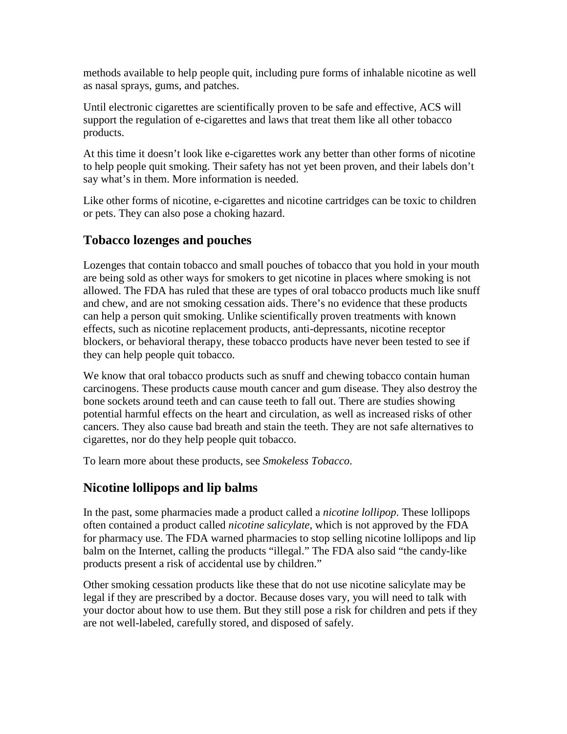methods available to help people quit, including pure forms of inhalable nicotine as well as nasal sprays, gums, and patches.

Until electronic cigarettes are scientifically proven to be safe and effective, ACS will support the regulation of e-cigarettes and laws that treat them like all other tobacco products.

At this time it doesn't look like e-cigarettes work any better than other forms of nicotine to help people quit smoking. Their safety has not yet been proven, and their labels don't say what's in them. More information is needed.

Like other forms of nicotine, e-cigarettes and nicotine cartridges can be toxic to children or pets. They can also pose a choking hazard.

### **Tobacco lozenges and pouches**

Lozenges that contain tobacco and small pouches of tobacco that you hold in your mouth are being sold as other ways for smokers to get nicotine in places where smoking is not allowed. The FDA has ruled that these are types of oral tobacco products much like snuff and chew, and are not smoking cessation aids. There's no evidence that these products can help a person quit smoking. Unlike scientifically proven treatments with known effects, such as nicotine replacement products, anti-depressants, nicotine receptor blockers, or behavioral therapy, these tobacco products have never been tested to see if they can help people quit tobacco.

We know that oral tobacco products such as snuff and chewing tobacco contain human carcinogens. These products cause mouth cancer and gum disease. They also destroy the bone sockets around teeth and can cause teeth to fall out. There are studies showing potential harmful effects on the heart and circulation, as well as increased risks of other cancers. They also cause bad breath and stain the teeth. They are not safe alternatives to cigarettes, nor do they help people quit tobacco.

To learn more about these products, see *Smokeless Tobacco*.

### **Nicotine lollipops and lip balms**

In the past, some pharmacies made a product called a *nicotine lollipop*. These lollipops often contained a product called *nicotine salicylate*, which is not approved by the FDA for pharmacy use. The FDA warned pharmacies to stop selling nicotine lollipops and lip balm on the Internet, calling the products "illegal." The FDA also said "the candy-like products present a risk of accidental use by children."

Other smoking cessation products like these that do not use nicotine salicylate may be legal if they are prescribed by a doctor. Because doses vary, you will need to talk with your doctor about how to use them. But they still pose a risk for children and pets if they are not well-labeled, carefully stored, and disposed of safely.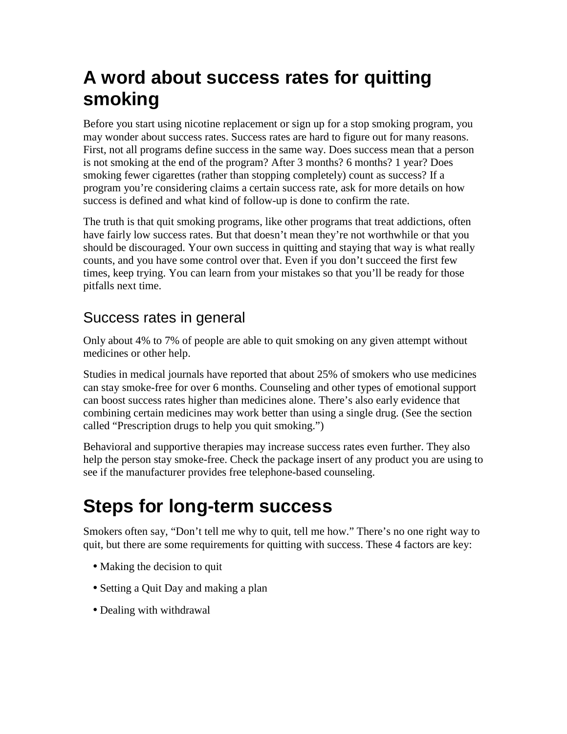# **A word about success rates for quitting smoking**

Before you start using nicotine replacement or sign up for a stop smoking program, you may wonder about success rates. Success rates are hard to figure out for many reasons. First, not all programs define success in the same way. Does success mean that a person is not smoking at the end of the program? After 3 months? 6 months? 1 year? Does smoking fewer cigarettes (rather than stopping completely) count as success? If a program you're considering claims a certain success rate, ask for more details on how success is defined and what kind of follow-up is done to confirm the rate.

The truth is that quit smoking programs, like other programs that treat addictions, often have fairly low success rates. But that doesn't mean they're not worthwhile or that you should be discouraged. Your own success in quitting and staying that way is what really counts, and you have some control over that. Even if you don't succeed the first few times, keep trying. You can learn from your mistakes so that you'll be ready for those pitfalls next time.

## Success rates in general

Only about 4% to 7% of people are able to quit smoking on any given attempt without medicines or other help.

Studies in medical journals have reported that about 25% of smokers who use medicines can stay smoke-free for over 6 months. Counseling and other types of emotional support can boost success rates higher than medicines alone. There's also early evidence that combining certain medicines may work better than using a single drug. (See the section called "Prescription drugs to help you quit smoking.")

Behavioral and supportive therapies may increase success rates even further. They also help the person stay smoke-free. Check the package insert of any product you are using to see if the manufacturer provides free telephone-based counseling.

# **Steps for long-term success**

Smokers often say, "Don't tell me why to quit, tell me how." There's no one right way to quit, but there are some requirements for quitting with success. These 4 factors are key:

- Making the decision to quit
- Setting a Quit Day and making a plan
- Dealing with withdrawal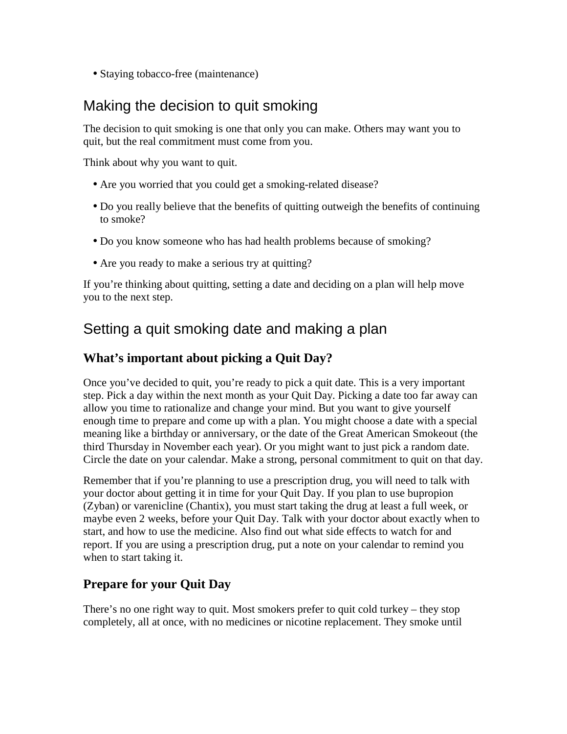• Staying tobacco-free (maintenance)

### Making the decision to quit smoking

The decision to quit smoking is one that only you can make. Others may want you to quit, but the real commitment must come from you.

Think about why you want to quit.

- Are you worried that you could get a smoking-related disease?
- Do you really believe that the benefits of quitting outweigh the benefits of continuing to smoke?
- Do you know someone who has had health problems because of smoking?
- Are you ready to make a serious try at quitting?

If you're thinking about quitting, setting a date and deciding on a plan will help move you to the next step.

### Setting a quit smoking date and making a plan

### **What's important about picking a Quit Day?**

Once you've decided to quit, you're ready to pick a quit date. This is a very important step. Pick a day within the next month as your Quit Day. Picking a date too far away can allow you time to rationalize and change your mind. But you want to give yourself enough time to prepare and come up with a plan. You might choose a date with a special meaning like a birthday or anniversary, or the date of the Great American Smokeout (the third Thursday in November each year). Or you might want to just pick a random date. Circle the date on your calendar. Make a strong, personal commitment to quit on that day.

Remember that if you're planning to use a prescription drug, you will need to talk with your doctor about getting it in time for your Quit Day. If you plan to use bupropion (Zyban) or varenicline (Chantix), you must start taking the drug at least a full week, or maybe even 2 weeks, before your Quit Day. Talk with your doctor about exactly when to start, and how to use the medicine. Also find out what side effects to watch for and report. If you are using a prescription drug, put a note on your calendar to remind you when to start taking it.

### **Prepare for your Quit Day**

There's no one right way to quit. Most smokers prefer to quit cold turkey – they stop completely, all at once, with no medicines or nicotine replacement. They smoke until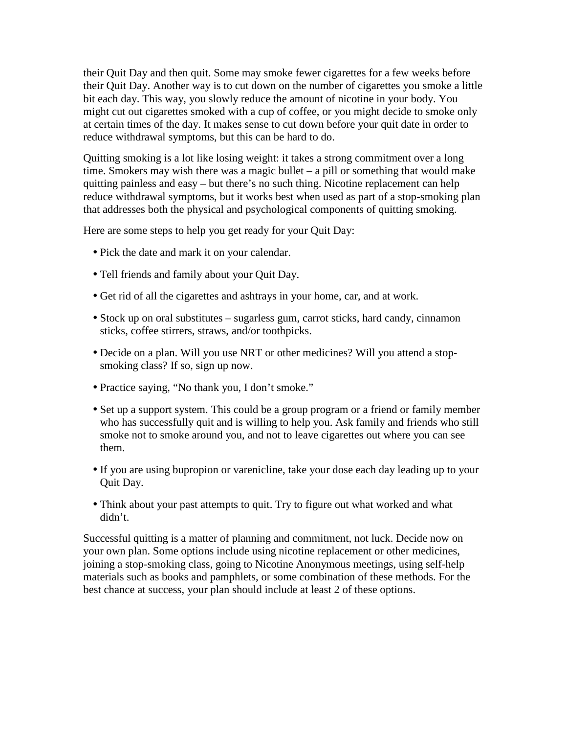their Quit Day and then quit. Some may smoke fewer cigarettes for a few weeks before their Quit Day. Another way is to cut down on the number of cigarettes you smoke a little bit each day. This way, you slowly reduce the amount of nicotine in your body. You might cut out cigarettes smoked with a cup of coffee, or you might decide to smoke only at certain times of the day. It makes sense to cut down before your quit date in order to reduce withdrawal symptoms, but this can be hard to do.

Quitting smoking is a lot like losing weight: it takes a strong commitment over a long time. Smokers may wish there was a magic bullet – a pill or something that would make quitting painless and easy – but there's no such thing. Nicotine replacement can help reduce withdrawal symptoms, but it works best when used as part of a stop-smoking plan that addresses both the physical and psychological components of quitting smoking.

Here are some steps to help you get ready for your Quit Day:

- Pick the date and mark it on your calendar.
- Tell friends and family about your Quit Day.
- Get rid of all the cigarettes and ashtrays in your home, car, and at work.
- Stock up on oral substitutes sugarless gum, carrot sticks, hard candy, cinnamon sticks, coffee stirrers, straws, and/or toothpicks.
- Decide on a plan. Will you use NRT or other medicines? Will you attend a stopsmoking class? If so, sign up now.
- Practice saying, "No thank you, I don't smoke."
- Set up a support system. This could be a group program or a friend or family member who has successfully quit and is willing to help you. Ask family and friends who still smoke not to smoke around you, and not to leave cigarettes out where you can see them.
- If you are using bupropion or varenicline, take your dose each day leading up to your Quit Day.
- Think about your past attempts to quit. Try to figure out what worked and what didn't.

Successful quitting is a matter of planning and commitment, not luck. Decide now on your own plan. Some options include using nicotine replacement or other medicines, joining a stop-smoking class, going to Nicotine Anonymous meetings, using self-help materials such as books and pamphlets, or some combination of these methods. For the best chance at success, your plan should include at least 2 of these options.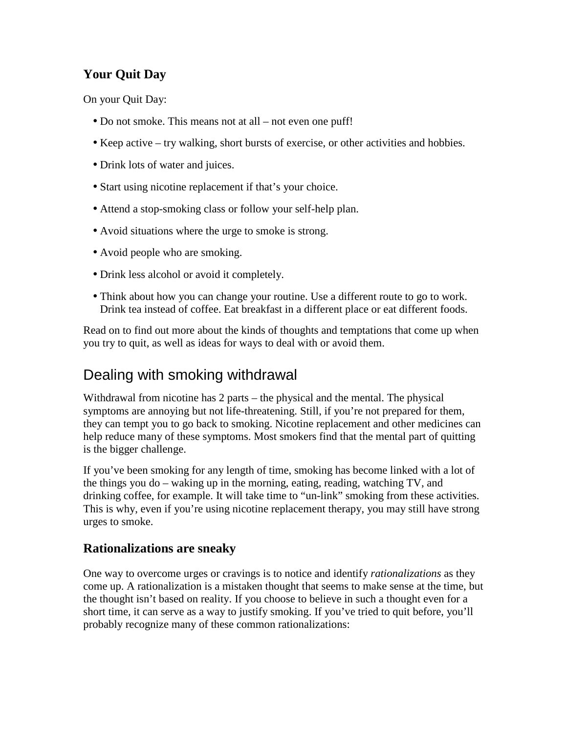### **Your Quit Day**

On your Quit Day:

- Do not smoke. This means not at all not even one puff!
- Keep active try walking, short bursts of exercise, or other activities and hobbies.
- Drink lots of water and juices.
- Start using nicotine replacement if that's your choice.
- Attend a stop-smoking class or follow your self-help plan.
- Avoid situations where the urge to smoke is strong.
- Avoid people who are smoking.
- Drink less alcohol or avoid it completely.
- Think about how you can change your routine. Use a different route to go to work. Drink tea instead of coffee. Eat breakfast in a different place or eat different foods.

Read on to find out more about the kinds of thoughts and temptations that come up when you try to quit, as well as ideas for ways to deal with or avoid them.

## Dealing with smoking withdrawal

Withdrawal from nicotine has 2 parts – the physical and the mental. The physical symptoms are annoying but not life-threatening. Still, if you're not prepared for them, they can tempt you to go back to smoking. Nicotine replacement and other medicines can help reduce many of these symptoms. Most smokers find that the mental part of quitting is the bigger challenge.

If you've been smoking for any length of time, smoking has become linked with a lot of the things you do – waking up in the morning, eating, reading, watching TV, and drinking coffee, for example. It will take time to "un-link" smoking from these activities. This is why, even if you're using nicotine replacement therapy, you may still have strong urges to smoke.

### **Rationalizations are sneaky**

One way to overcome urges or cravings is to notice and identify *rationalizations* as they come up. A rationalization is a mistaken thought that seems to make sense at the time, but the thought isn't based on reality. If you choose to believe in such a thought even for a short time, it can serve as a way to justify smoking. If you've tried to quit before, you'll probably recognize many of these common rationalizations: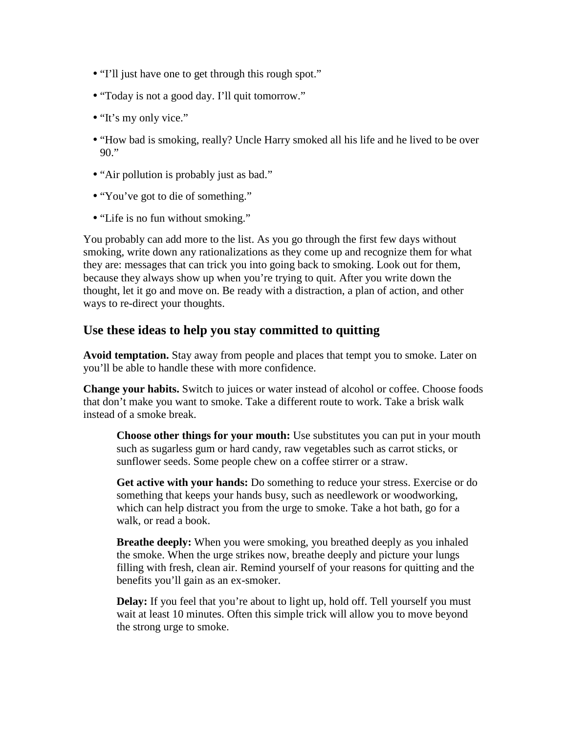- "I'll just have one to get through this rough spot."
- "Today is not a good day. I'll quit tomorrow."
- "It's my only vice."
- "How bad is smoking, really? Uncle Harry smoked all his life and he lived to be over 90."
- "Air pollution is probably just as bad."
- "You've got to die of something."
- "Life is no fun without smoking."

You probably can add more to the list. As you go through the first few days without smoking, write down any rationalizations as they come up and recognize them for what they are: messages that can trick you into going back to smoking. Look out for them, because they always show up when you're trying to quit. After you write down the thought, let it go and move on. Be ready with a distraction, a plan of action, and other ways to re-direct your thoughts.

#### **Use these ideas to help you stay committed to quitting**

**Avoid temptation.** Stay away from people and places that tempt you to smoke. Later on you'll be able to handle these with more confidence.

**Change your habits.** Switch to juices or water instead of alcohol or coffee. Choose foods that don't make you want to smoke. Take a different route to work. Take a brisk walk instead of a smoke break.

**Choose other things for your mouth:** Use substitutes you can put in your mouth such as sugarless gum or hard candy, raw vegetables such as carrot sticks, or sunflower seeds. Some people chew on a coffee stirrer or a straw.

**Get active with your hands:** Do something to reduce your stress. Exercise or do something that keeps your hands busy, such as needlework or woodworking, which can help distract you from the urge to smoke. Take a hot bath, go for a walk, or read a book.

**Breathe deeply:** When you were smoking, you breathed deeply as you inhaled the smoke. When the urge strikes now, breathe deeply and picture your lungs filling with fresh, clean air. Remind yourself of your reasons for quitting and the benefits you'll gain as an ex-smoker.

**Delay:** If you feel that you're about to light up, hold off. Tell yourself you must wait at least 10 minutes. Often this simple trick will allow you to move beyond the strong urge to smoke.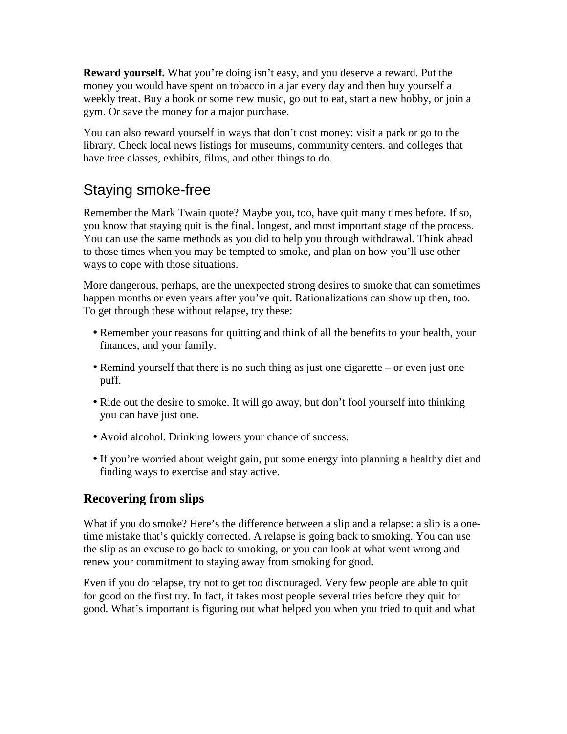**Reward yourself.** What you're doing isn't easy, and you deserve a reward. Put the money you would have spent on tobacco in a jar every day and then buy yourself a weekly treat. Buy a book or some new music, go out to eat, start a new hobby, or join a gym. Or save the money for a major purchase.

You can also reward yourself in ways that don't cost money: visit a park or go to the library. Check local news listings for museums, community centers, and colleges that have free classes, exhibits, films, and other things to do.

## Staying smoke-free

Remember the Mark Twain quote? Maybe you, too, have quit many times before. If so, you know that staying quit is the final, longest, and most important stage of the process. You can use the same methods as you did to help you through withdrawal. Think ahead to those times when you may be tempted to smoke, and plan on how you'll use other ways to cope with those situations.

More dangerous, perhaps, are the unexpected strong desires to smoke that can sometimes happen months or even years after you've quit. Rationalizations can show up then, too. To get through these without relapse, try these:

- Remember your reasons for quitting and think of all the benefits to your health, your finances, and your family.
- Remind yourself that there is no such thing as just one cigarette or even just one puff.
- Ride out the desire to smoke. It will go away, but don't fool yourself into thinking you can have just one.
- Avoid alcohol. Drinking lowers your chance of success.
- If you're worried about weight gain, put some energy into planning a healthy diet and finding ways to exercise and stay active.

### **Recovering from slips**

What if you do smoke? Here's the difference between a slip and a relapse: a slip is a onetime mistake that's quickly corrected. A relapse is going back to smoking. You can use the slip as an excuse to go back to smoking, or you can look at what went wrong and renew your commitment to staying away from smoking for good.

Even if you do relapse, try not to get too discouraged. Very few people are able to quit for good on the first try. In fact, it takes most people several tries before they quit for good. What's important is figuring out what helped you when you tried to quit and what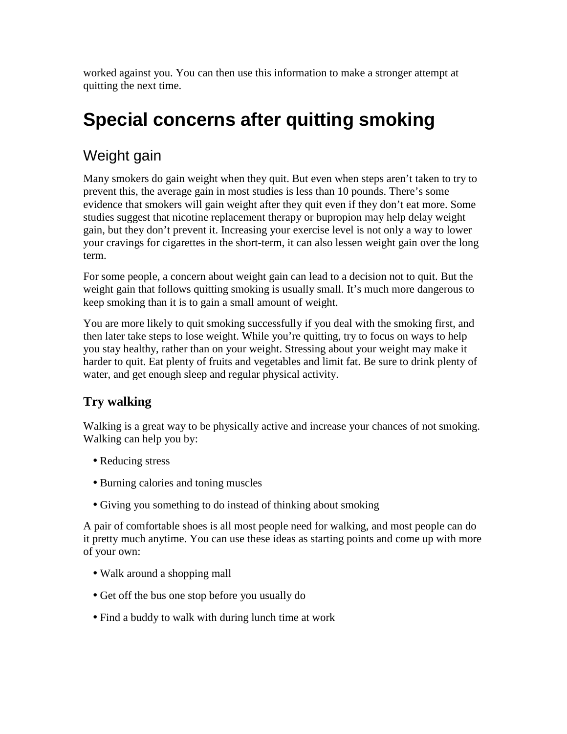worked against you. You can then use this information to make a stronger attempt at quitting the next time.

# **Special concerns after quitting smoking**

## Weight gain

Many smokers do gain weight when they quit. But even when steps aren't taken to try to prevent this, the average gain in most studies is less than 10 pounds. There's some evidence that smokers will gain weight after they quit even if they don't eat more. Some studies suggest that nicotine replacement therapy or bupropion may help delay weight gain, but they don't prevent it. Increasing your exercise level is not only a way to lower your cravings for cigarettes in the short-term, it can also lessen weight gain over the long term.

For some people, a concern about weight gain can lead to a decision not to quit. But the weight gain that follows quitting smoking is usually small. It's much more dangerous to keep smoking than it is to gain a small amount of weight.

You are more likely to quit smoking successfully if you deal with the smoking first, and then later take steps to lose weight. While you're quitting, try to focus on ways to help you stay healthy, rather than on your weight. Stressing about your weight may make it harder to quit. Eat plenty of fruits and vegetables and limit fat. Be sure to drink plenty of water, and get enough sleep and regular physical activity.

### **Try walking**

Walking is a great way to be physically active and increase your chances of not smoking. Walking can help you by:

- Reducing stress
- Burning calories and toning muscles
- Giving you something to do instead of thinking about smoking

A pair of comfortable shoes is all most people need for walking, and most people can do it pretty much anytime. You can use these ideas as starting points and come up with more of your own:

- Walk around a shopping mall
- Get off the bus one stop before you usually do
- Find a buddy to walk with during lunch time at work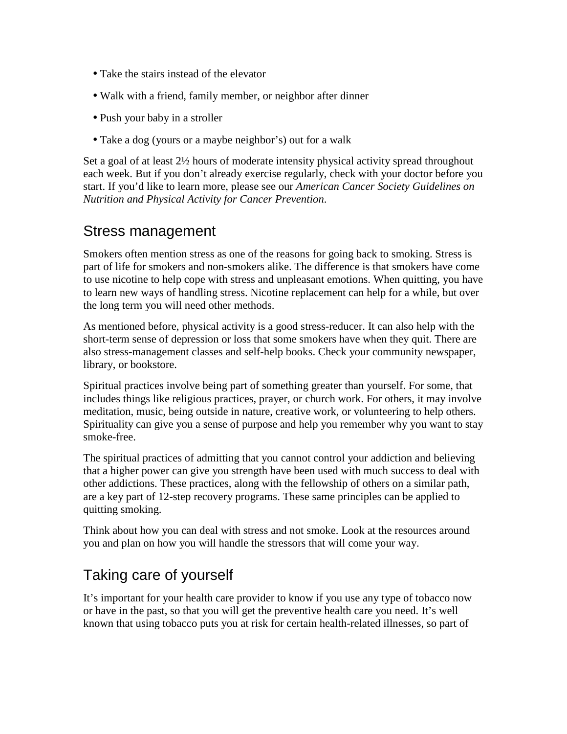- Take the stairs instead of the elevator
- Walk with a friend, family member, or neighbor after dinner
- Push your baby in a stroller
- Take a dog (yours or a maybe neighbor's) out for a walk

Set a goal of at least 2½ hours of moderate intensity physical activity spread throughout each week. But if you don't already exercise regularly, check with your doctor before you start. If you'd like to learn more, please see our *American Cancer Society Guidelines on Nutrition and Physical Activity for Cancer Prevention*.

### Stress management

Smokers often mention stress as one of the reasons for going back to smoking. Stress is part of life for smokers and non-smokers alike. The difference is that smokers have come to use nicotine to help cope with stress and unpleasant emotions. When quitting, you have to learn new ways of handling stress. Nicotine replacement can help for a while, but over the long term you will need other methods.

As mentioned before, physical activity is a good stress-reducer. It can also help with the short-term sense of depression or loss that some smokers have when they quit. There are also stress-management classes and self-help books. Check your community newspaper, library, or bookstore.

Spiritual practices involve being part of something greater than yourself. For some, that includes things like religious practices, prayer, or church work. For others, it may involve meditation, music, being outside in nature, creative work, or volunteering to help others. Spirituality can give you a sense of purpose and help you remember why you want to stay smoke-free.

The spiritual practices of admitting that you cannot control your addiction and believing that a higher power can give you strength have been used with much success to deal with other addictions. These practices, along with the fellowship of others on a similar path, are a key part of 12-step recovery programs. These same principles can be applied to quitting smoking.

Think about how you can deal with stress and not smoke. Look at the resources around you and plan on how you will handle the stressors that will come your way.

## Taking care of yourself

It's important for your health care provider to know if you use any type of tobacco now or have in the past, so that you will get the preventive health care you need. It's well known that using tobacco puts you at risk for certain health-related illnesses, so part of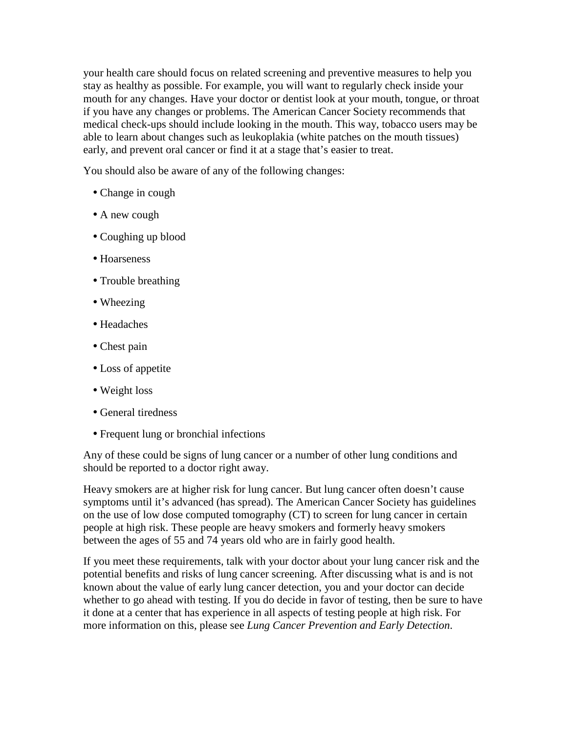your health care should focus on related screening and preventive measures to help you stay as healthy as possible. For example, you will want to regularly check inside your mouth for any changes. Have your doctor or dentist look at your mouth, tongue, or throat if you have any changes or problems. The American Cancer Society recommends that medical check-ups should include looking in the mouth. This way, tobacco users may be able to learn about changes such as leukoplakia (white patches on the mouth tissues) early, and prevent oral cancer or find it at a stage that's easier to treat.

You should also be aware of any of the following changes:

- Change in cough
- A new cough
- Coughing up blood
- Hoarseness
- Trouble breathing
- Wheezing
- Headaches
- Chest pain
- Loss of appetite
- Weight loss
- General tiredness
- Frequent lung or bronchial infections

Any of these could be signs of lung cancer or a number of other lung conditions and should be reported to a doctor right away.

Heavy smokers are at higher risk for lung cancer. But lung cancer often doesn't cause symptoms until it's advanced (has spread). The American Cancer Society has guidelines on the use of low dose computed tomography (CT) to screen for lung cancer in certain people at high risk. These people are heavy smokers and formerly heavy smokers between the ages of 55 and 74 years old who are in fairly good health.

If you meet these requirements, talk with your doctor about your lung cancer risk and the potential benefits and risks of lung cancer screening. After discussing what is and is not known about the value of early lung cancer detection, you and your doctor can decide whether to go ahead with testing. If you do decide in favor of testing, then be sure to have it done at a center that has experience in all aspects of testing people at high risk. For more information on this, please see *Lung Cancer Prevention and Early Detection*.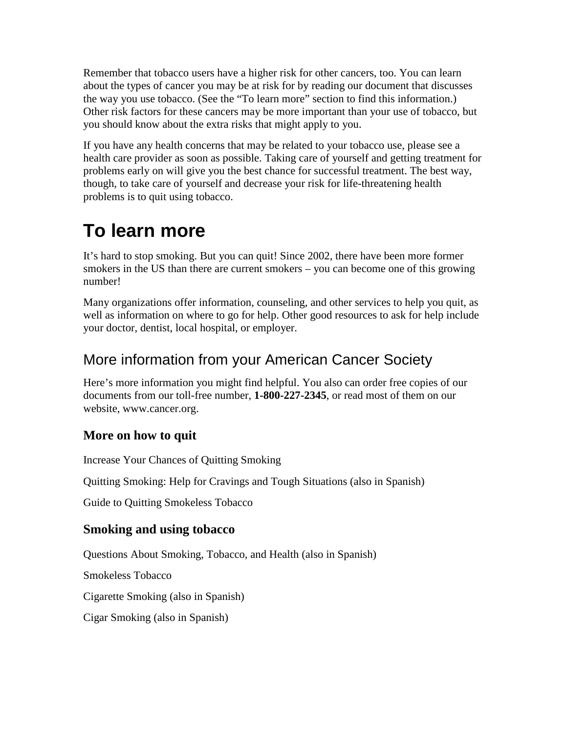Remember that tobacco users have a higher risk for other cancers, too. You can learn about the types of cancer you may be at risk for by reading our document that discusses the way you use tobacco. (See the "To learn more" section to find this information.) Other risk factors for these cancers may be more important than your use of tobacco, but you should know about the extra risks that might apply to you.

If you have any health concerns that may be related to your tobacco use, please see a health care provider as soon as possible. Taking care of yourself and getting treatment for problems early on will give you the best chance for successful treatment. The best way, though, to take care of yourself and decrease your risk for life-threatening health problems is to quit using tobacco.

# **To learn more**

It's hard to stop smoking. But you can quit! Since 2002, there have been more former smokers in the US than there are current smokers – you can become one of this growing number!

Many organizations offer information, counseling, and other services to help you quit, as well as information on where to go for help. Other good resources to ask for help include your doctor, dentist, local hospital, or employer.

## More information from your American Cancer Society

Here's more information you might find helpful. You also can order free copies of our documents from our toll-free number, **1-800-227-2345**, or read most of them on our website, www.cancer.org.

### **More on how to quit**

Increase Your Chances of Quitting Smoking

Quitting Smoking: Help for Cravings and Tough Situations (also in Spanish)

Guide to Quitting Smokeless Tobacco

### **Smoking and using tobacco**

Questions About Smoking, Tobacco, and Health (also in Spanish)

Smokeless Tobacco

Cigarette Smoking (also in Spanish)

Cigar Smoking (also in Spanish)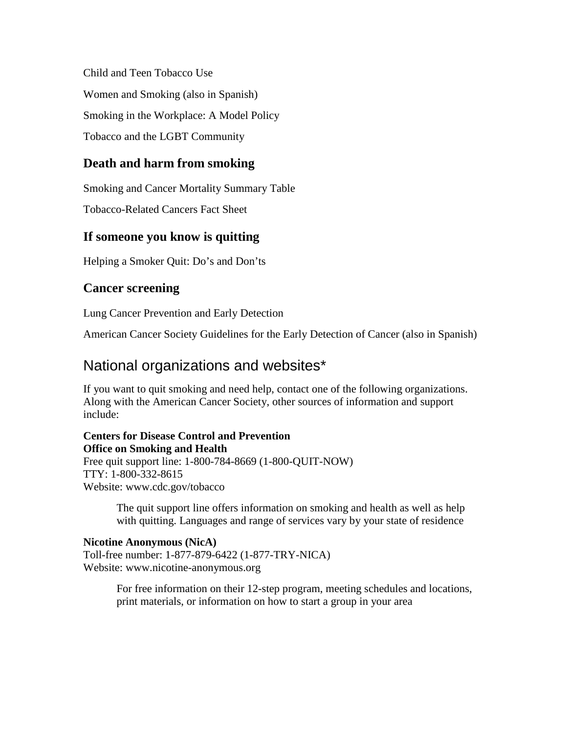Child and Teen Tobacco Use Women and Smoking (also in Spanish) Smoking in the Workplace: A Model Policy Tobacco and the LGBT Community

### **Death and harm from smoking**

Smoking and Cancer Mortality Summary Table

Tobacco-Related Cancers Fact Sheet

### **If someone you know is quitting**

Helping a Smoker Quit: Do's and Don'ts

### **Cancer screening**

Lung Cancer Prevention and Early Detection

American Cancer Society Guidelines for the Early Detection of Cancer (also in Spanish)

### National organizations and websites\*

If you want to quit smoking and need help, contact one of the following organizations. Along with the American Cancer Society, other sources of information and support include:

#### **Centers for Disease Control and Prevention Office on Smoking and Health**

Free quit support line: 1-800-784-8669 (1-800-QUIT-NOW) TTY: 1-800-332-8615 Website: www.cdc.gov/tobacco

> The quit support line offers information on smoking and health as well as help with quitting. Languages and range of services vary by your state of residence

#### **Nicotine Anonymous (NicA)**

Toll-free number: 1-877-879-6422 (1-877-TRY-NICA) Website: www.nicotine-anonymous.org

> For free information on their 12-step program, meeting schedules and locations, print materials, or information on how to start a group in your area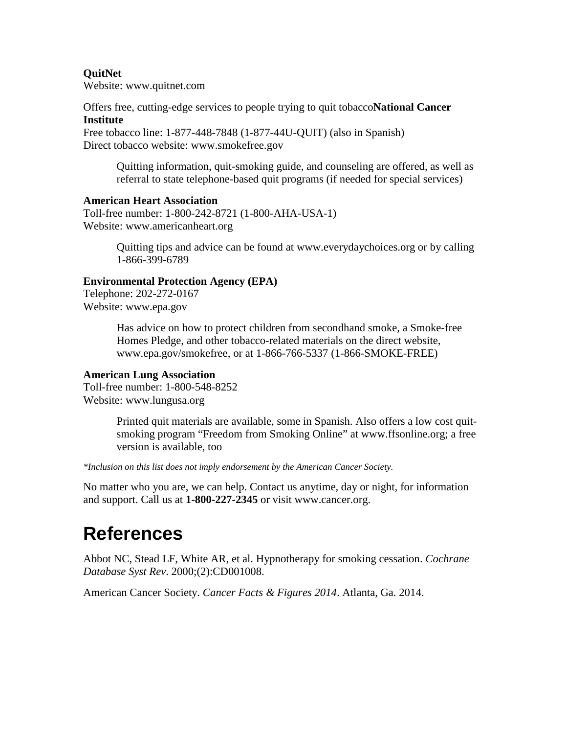#### **QuitNet**

Website: www.quitnet.com

Offers free, cutting-edge services to people trying to quit tobacco**National Cancer Institute** 

#### Free tobacco line: 1-877-448-7848 (1-877-44U-QUIT) (also in Spanish) Direct tobacco website: www.smokefree.gov

Quitting information, quit-smoking guide, and counseling are offered, as well as referral to state telephone-based quit programs (if needed for special services)

#### **American Heart Association**

Toll-free number: 1-800-242-8721 (1-800-AHA-USA-1) Website: www.americanheart.org

> Quitting tips and advice can be found at www.everydaychoices.org or by calling 1-866-399-6789

#### **Environmental Protection Agency (EPA)**

Telephone: 202-272-0167 Website: www.epa.gov

> Has advice on how to protect children from secondhand smoke, a Smoke-free Homes Pledge, and other tobacco-related materials on the direct website, www.epa.gov/smokefree, or at 1-866-766-5337 (1-866-SMOKE-FREE)

#### **American Lung Association**

Toll-free number: 1-800-548-8252 Website: www.lungusa.org

> Printed quit materials are available, some in Spanish. Also offers a low cost quitsmoking program "Freedom from Smoking Online" at www.ffsonline.org; a free version is available, too

*\*Inclusion on this list does not imply endorsement by the American Cancer Society.* 

No matter who you are, we can help. Contact us anytime, day or night, for information and support. Call us at **1-800-227-2345** or visit www.cancer.org.

## **References**

Abbot NC, Stead LF, White AR, et al. Hypnotherapy for smoking cessation. *Cochrane Database Syst Rev*. 2000;(2):CD001008.

American Cancer Society. *Cancer Facts & Figures 2014*. Atlanta, Ga. 2014.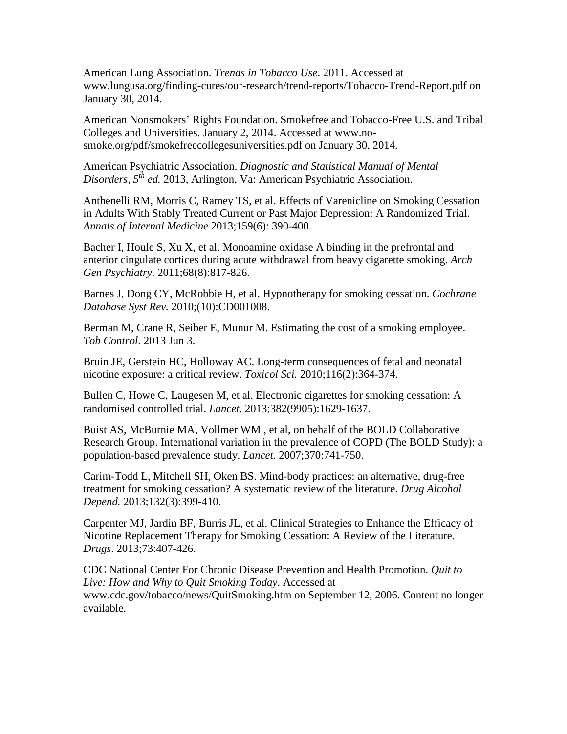American Lung Association. *Trends in Tobacco Use*. 2011. Accessed at www.lungusa.org/finding-cures/our-research/trend-reports/Tobacco-Trend-Report.pdf on January 30, 2014.

American Nonsmokers' Rights Foundation. Smokefree and Tobacco-Free U.S. and Tribal Colleges and Universities. January 2, 2014. Accessed at www.nosmoke.org/pdf/smokefreecollegesuniversities.pdf on January 30, 2014.

American Psychiatric Association. *Diagnostic and Statistical Manual of Mental Disorders, 5th ed.* 2013, Arlington, Va: American Psychiatric Association.

Anthenelli RM, Morris C, Ramey TS, et al. Effects of Varenicline on Smoking Cessation in Adults With Stably Treated Current or Past Major Depression: A Randomized Trial. *Annals of Internal Medicine* 2013;159(6): 390-400.

Bacher I, Houle S, Xu X, et al. Monoamine oxidase A binding in the prefrontal and anterior cingulate cortices during acute withdrawal from heavy cigarette smoking. *Arch Gen Psychiatry*. 2011;68(8):817-826.

Barnes J, Dong CY, McRobbie H, et al. Hypnotherapy for smoking cessation. *Cochrane Database Syst Rev.* 2010;(10):CD001008.

Berman M, Crane R, Seiber E, Munur M. Estimating the cost of a smoking employee. *Tob Control*. 2013 Jun 3.

Bruin JE, Gerstein HC, Holloway AC. Long-term consequences of fetal and neonatal nicotine exposure: a critical review. *Toxicol Sci.* 2010;116(2):364-374.

Bullen C, Howe C, Laugesen M, et al. Electronic cigarettes for smoking cessation: A randomised controlled trial. *Lancet*. 2013;382(9905):1629-1637.

Buist AS, McBurnie MA, Vollmer WM , et al, on behalf of the BOLD Collaborative Research Group. International variation in the prevalence of COPD (The BOLD Study): a population-based prevalence study. *Lancet*. 2007;370:741-750.

Carim-Todd L, Mitchell SH, Oken BS. Mind-body practices: an alternative, drug-free treatment for smoking cessation? A systematic review of the literature. *Drug Alcohol Depend.* 2013;132(3):399-410.

Carpenter MJ, Jardin BF, Burris JL, et al. Clinical Strategies to Enhance the Efficacy of Nicotine Replacement Therapy for Smoking Cessation: A Review of the Literature. *Drugs*. 2013;73:407-426.

CDC National Center For Chronic Disease Prevention and Health Promotion. *Quit to Live: How and Why to Quit Smoking Today*. Accessed at www.cdc.gov/tobacco/news/QuitSmoking.htm on September 12, 2006. Content no longer available.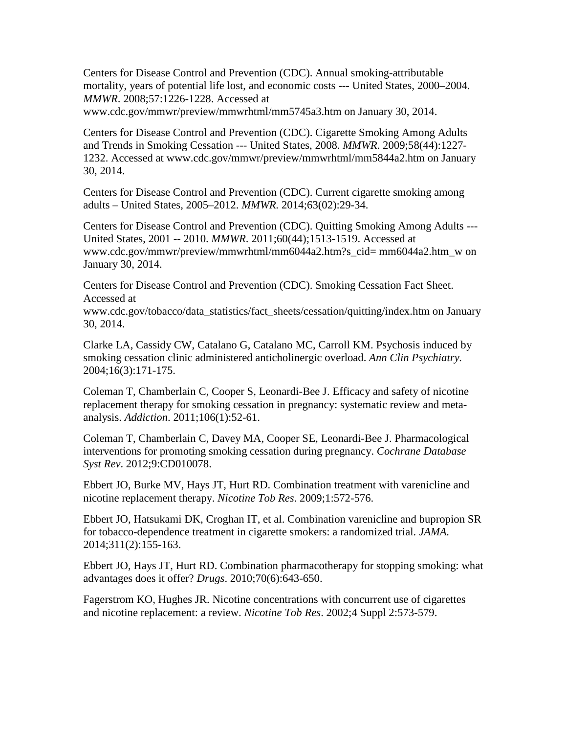Centers for Disease Control and Prevention (CDC). Annual smoking-attributable mortality, years of potential life lost, and economic costs --- United States, 2000–2004*. MMWR*. 2008;57:1226-1228. Accessed at

www.cdc.gov/mmwr/preview/mmwrhtml/mm5745a3.htm on January 30, 2014.

Centers for Disease Control and Prevention (CDC). Cigarette Smoking Among Adults and Trends in Smoking Cessation --- United States, 2008. *MMWR*. 2009;58(44):1227- 1232. Accessed at www.cdc.gov/mmwr/preview/mmwrhtml/mm5844a2.htm on January 30, 2014.

Centers for Disease Control and Prevention (CDC). Current cigarette smoking among adults – United States, 2005–2012. *MMWR.* 2014;63(02):29-34.

Centers for Disease Control and Prevention (CDC). Quitting Smoking Among Adults --- United States, 2001 -- 2010. *MMWR*. 2011;60(44);1513-1519. Accessed at www.cdc.gov/mmwr/preview/mmwrhtml/mm6044a2.htm?s\_cid= mm6044a2.htm\_w on January 30, 2014.

Centers for Disease Control and Prevention (CDC). Smoking Cessation Fact Sheet. Accessed at

www.cdc.gov/tobacco/data\_statistics/fact\_sheets/cessation/quitting/index.htm on January 30, 2014.

Clarke LA, Cassidy CW, Catalano G, Catalano MC, Carroll KM. Psychosis induced by smoking cessation clinic administered anticholinergic overload. *Ann Clin Psychiatry.* 2004;16(3):171-175.

Coleman T, Chamberlain C, Cooper S, Leonardi-Bee J. Efficacy and safety of nicotine replacement therapy for smoking cessation in pregnancy: systematic review and metaanalysis. *Addiction*. 2011;106(1):52-61.

Coleman T, Chamberlain C, Davey MA, Cooper SE, Leonardi-Bee J. Pharmacological interventions for promoting smoking cessation during pregnancy. *Cochrane Database Syst Rev*. 2012;9:CD010078.

Ebbert JO, Burke MV, Hays JT, Hurt RD. Combination treatment with varenicline and nicotine replacement therapy. *Nicotine Tob Res*. 2009;1:572-576.

Ebbert JO, Hatsukami DK, Croghan IT, et al. Combination varenicline and bupropion SR for tobacco-dependence treatment in cigarette smokers: a randomized trial. *JAMA.* 2014;311(2):155-163.

Ebbert JO, Hays JT, Hurt RD. Combination pharmacotherapy for stopping smoking: what advantages does it offer? *Drugs*. 2010;70(6):643-650.

Fagerstrom KO, Hughes JR. Nicotine concentrations with concurrent use of cigarettes and nicotine replacement: a review. *Nicotine Tob Res*. 2002;4 Suppl 2:573-579.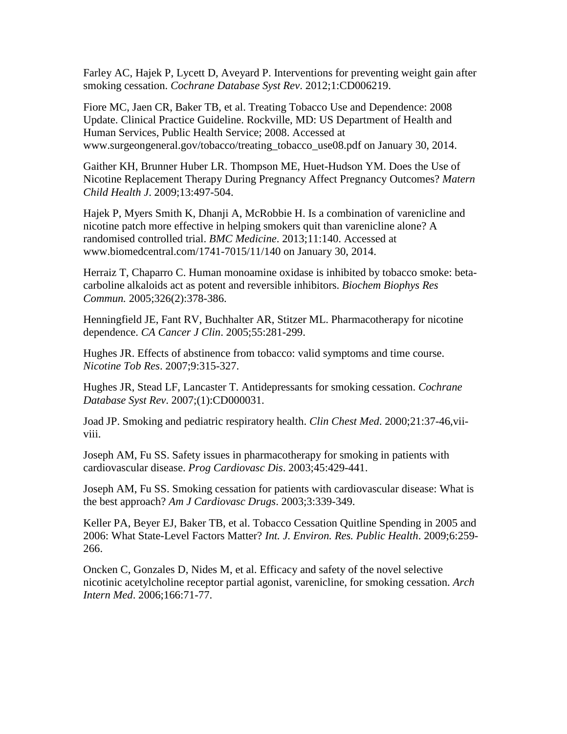Farley AC, Hajek P, Lycett D, Aveyard P. Interventions for preventing weight gain after smoking cessation. *Cochrane Database Syst Rev*. 2012;1:CD006219.

Fiore MC, Jaen CR, Baker TB, et al. Treating Tobacco Use and Dependence: 2008 Update. Clinical Practice Guideline. Rockville, MD: US Department of Health and Human Services, Public Health Service; 2008. Accessed at www.surgeongeneral.gov/tobacco/treating\_tobacco\_use08.pdf on January 30, 2014.

Gaither KH, Brunner Huber LR. Thompson ME, Huet-Hudson YM. Does the Use of Nicotine Replacement Therapy During Pregnancy Affect Pregnancy Outcomes? *Matern Child Health J*. 2009;13:497-504.

Hajek P, Myers Smith K, Dhanji A, McRobbie H. Is a combination of varenicline and nicotine patch more effective in helping smokers quit than varenicline alone? A randomised controlled trial. *BMC Medicine*. 2013;11:140. Accessed at www.biomedcentral.com/1741-7015/11/140 on January 30, 2014.

Herraiz T, Chaparro C. Human monoamine oxidase is inhibited by tobacco smoke: betacarboline alkaloids act as potent and reversible inhibitors. *Biochem Biophys Res Commun.* 2005;326(2):378-386.

Henningfield JE, Fant RV, Buchhalter AR, Stitzer ML. Pharmacotherapy for nicotine dependence. *CA Cancer J Clin*. 2005;55:281-299.

Hughes JR. Effects of abstinence from tobacco: valid symptoms and time course. *Nicotine Tob Res*. 2007;9:315-327.

Hughes JR, Stead LF, Lancaster T. Antidepressants for smoking cessation. *Cochrane Database Syst Rev*. 2007;(1):CD000031.

Joad JP. Smoking and pediatric respiratory health. *Clin Chest Med*. 2000;21:37-46,viiviii.

Joseph AM, Fu SS. Safety issues in pharmacotherapy for smoking in patients with cardiovascular disease. *Prog Cardiovasc Dis*. 2003;45:429-441.

Joseph AM, Fu SS. Smoking cessation for patients with cardiovascular disease: What is the best approach? *Am J Cardiovasc Drugs*. 2003;3:339-349.

Keller PA, Beyer EJ, Baker TB, et al. Tobacco Cessation Quitline Spending in 2005 and 2006: What State-Level Factors Matter? *Int. J. Environ. Res. Public Health*. 2009;6:259- 266.

Oncken C, Gonzales D, Nides M, et al. Efficacy and safety of the novel selective nicotinic acetylcholine receptor partial agonist, varenicline, for smoking cessation. *Arch Intern Med*. 2006;166:71-77.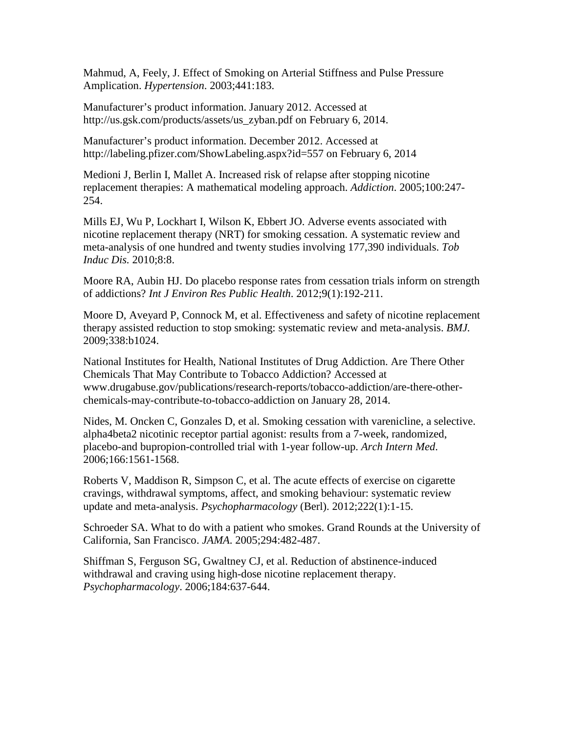Mahmud, A, Feely, J. Effect of Smoking on Arterial Stiffness and Pulse Pressure Amplication. *Hypertension*. 2003;441:183.

Manufacturer's product information. January 2012. Accessed at http://us.gsk.com/products/assets/us\_zyban.pdf on February 6, 2014.

Manufacturer's product information. December 2012. Accessed at http://labeling.pfizer.com/ShowLabeling.aspx?id=557 on February 6, 2014

Medioni J, Berlin I, Mallet A. Increased risk of relapse after stopping nicotine replacement therapies: A mathematical modeling approach. *Addiction*. 2005;100:247- 254.

Mills EJ, Wu P, Lockhart I, Wilson K, Ebbert JO. Adverse events associated with nicotine replacement therapy (NRT) for smoking cessation. A systematic review and meta-analysis of one hundred and twenty studies involving 177,390 individuals. *Tob Induc Dis.* 2010;8:8.

Moore RA, Aubin HJ. Do placebo response rates from cessation trials inform on strength of addictions? *Int J Environ Res Public Health*. 2012;9(1):192-211.

Moore D, Aveyard P, Connock M, et al. Effectiveness and safety of nicotine replacement therapy assisted reduction to stop smoking: systematic review and meta-analysis. *BMJ.*  2009;338:b1024.

National Institutes for Health, National Institutes of Drug Addiction. Are There Other Chemicals That May Contribute to Tobacco Addiction? Accessed at www.drugabuse.gov/publications/research-reports/tobacco-addiction/are-there-otherchemicals-may-contribute-to-tobacco-addiction on January 28, 2014.

Nides, M. Oncken C, Gonzales D, et al. Smoking cessation with varenicline, a selective. alpha4beta2 nicotinic receptor partial agonist: results from a 7-week, randomized, placebo-and bupropion-controlled trial with 1-year follow-up. *Arch Intern Med*. 2006;166:1561-1568.

Roberts V, Maddison R, Simpson C, et al. The acute effects of exercise on cigarette cravings, withdrawal symptoms, affect, and smoking behaviour: systematic review update and meta-analysis. *Psychopharmacology* (Berl). 2012;222(1):1-15.

Schroeder SA. What to do with a patient who smokes. Grand Rounds at the University of California, San Francisco. *JAMA*. 2005;294:482-487.

Shiffman S, Ferguson SG, Gwaltney CJ, et al. Reduction of abstinence-induced withdrawal and craving using high-dose nicotine replacement therapy. *Psychopharmacology*. 2006;184:637-644.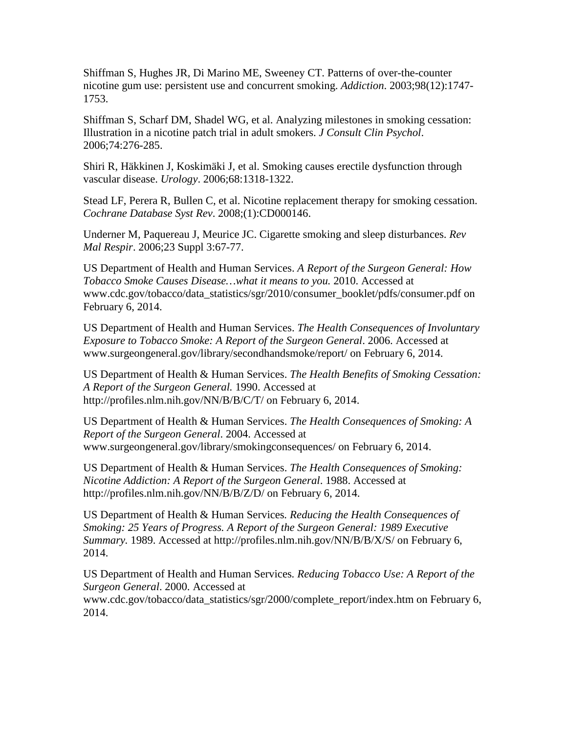Shiffman S, Hughes JR, Di Marino ME, Sweeney CT. Patterns of over-the-counter nicotine gum use: persistent use and concurrent smoking. *Addiction*. 2003;98(12):1747- 1753.

Shiffman S, Scharf DM, Shadel WG, et al. Analyzing milestones in smoking cessation: Illustration in a nicotine patch trial in adult smokers. *J Consult Clin Psychol*. 2006;74:276-285.

Shiri R, Häkkinen J, Koskimäki J, et al. Smoking causes erectile dysfunction through vascular disease. *Urology*. 2006;68:1318-1322.

Stead LF, Perera R, Bullen C, et al. Nicotine replacement therapy for smoking cessation. *Cochrane Database Syst Rev*. 2008;(1):CD000146.

Underner M, Paquereau J, Meurice JC. Cigarette smoking and sleep disturbances. *Rev Mal Respir*. 2006;23 Suppl 3:67-77.

US Department of Health and Human Services. *A Report of the Surgeon General: How Tobacco Smoke Causes Disease…what it means to you.* 2010. Accessed at www.cdc.gov/tobacco/data\_statistics/sgr/2010/consumer\_booklet/pdfs/consumer.pdf on February 6, 2014.

US Department of Health and Human Services. *The Health Consequences of Involuntary Exposure to Tobacco Smoke: A Report of the Surgeon General*. 2006. Accessed at www.surgeongeneral.gov/library/secondhandsmoke/report/ on February 6, 2014.

US Department of Health & Human Services. *The Health Benefits of Smoking Cessation: A Report of the Surgeon General.* 1990. Accessed at http://profiles.nlm.nih.gov/NN/B/B/C/T/ on February 6, 2014.

US Department of Health & Human Services. *The Health Consequences of Smoking: A Report of the Surgeon General*. 2004. Accessed at www.surgeongeneral.gov/library/smokingconsequences/ on February 6, 2014.

US Department of Health & Human Services. *The Health Consequences of Smoking: Nicotine Addiction: A Report of the Surgeon General*. 1988. Accessed at http://profiles.nlm.nih.gov/NN/B/B/Z/D/ on February 6, 2014.

US Department of Health & Human Services*. Reducing the Health Consequences of Smoking: 25 Years of Progress. A Report of the Surgeon General: 1989 Executive Summary.* 1989. Accessed at http://profiles.nlm.nih.gov/NN/B/B/X/S/ on February 6, 2014.

US Department of Health and Human Services*. Reducing Tobacco Use: A Report of the Surgeon General*. 2000. Accessed at www.cdc.gov/tobacco/data\_statistics/sgr/2000/complete\_report/index.htm on February 6, 2014.